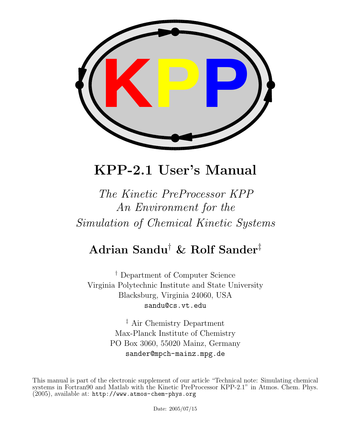

# KPP-2.1 User's Manual

# The Kinetic PreProcessor KPP An Environment for the Simulation of Chemical Kinetic Systems

# Adrian Sandu† & Rolf Sander‡

† Department of Computer Science Virginia Polytechnic Institute and State University Blacksburg, Virginia 24060, USA sandu@cs.vt.edu

> ‡ Air Chemistry Department Max-Planck Institute of Chemistry PO Box 3060, 55020 Mainz, Germany sander@mpch-mainz.mpg.de

This manual is part of the electronic supplement of our article "Technical note: Simulating chemical systems in Fortran90 and Matlab with the Kinetic PreProcessor KPP-2.1" in Atmos. Chem. Phys.  $(2005)$ , available at: http://www.atmos-chem-phys.org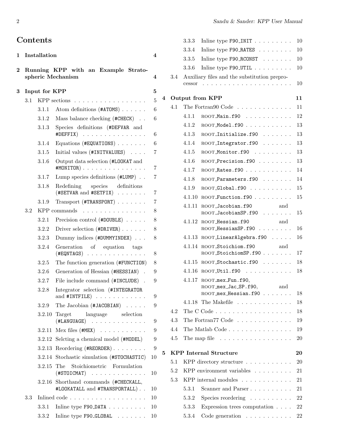# Contents

|   |               |           | Running KPP with an Example Strato-<br>spheric Mechanism                                                                                               |  |  |
|---|---------------|-----------|--------------------------------------------------------------------------------------------------------------------------------------------------------|--|--|
| 3 | Input for KPP |           |                                                                                                                                                        |  |  |
|   | 3.1           |           | KPP sections                                                                                                                                           |  |  |
|   |               | 3.1.1     | Atom definitions (#ATOMS)                                                                                                                              |  |  |
|   |               | 3.1.2     | Mass balance checking (#CHECK)                                                                                                                         |  |  |
|   |               | 3.1.3     | Species definitions (#DEFVAR and<br>#DEFFIX)<br>1.111                                                                                                  |  |  |
|   |               | 3.1.4     | Equations (#EQUATIONS) $\ldots$                                                                                                                        |  |  |
|   |               | $3.1.5\,$ | Initial values (#INITVALUES)                                                                                                                           |  |  |
|   |               | 3.1.6     | Output data selection (#LOOKAT and<br>#MONITOR)<br>$\mathbf{r}$                                                                                        |  |  |
|   |               | 3.1.7     | Lump species definitions $(\texttt{\#LUMP})$                                                                                                           |  |  |
|   |               | 3.1.8     | Redefining<br>species<br>definitions<br>(#SETVAR and #SETFIX)<br><b>Contractor</b>                                                                     |  |  |
|   |               | 3.1.9     | $Transport$ (#TRANSPORT) $\ldots \ldots$                                                                                                               |  |  |
|   | 3.2           |           | KPP commands                                                                                                                                           |  |  |
|   |               | 3.2.1     | Precision control (#DOUBLE)                                                                                                                            |  |  |
|   |               | 3.2.2     | Driver selection (#DRIVER)                                                                                                                             |  |  |
|   |               | 3.2.3     | Dummy indices (#DUMMYINDEX)                                                                                                                            |  |  |
|   |               | 3.2.4     | Generation<br>of equation tags<br>$(\texttt{\#EQNTAGS})$<br>$\sim$ $\sim$ $\sim$<br>$\mathcal{L}$ , and $\mathcal{L}$ , and $\mathcal{L}$<br>$\ddotsc$ |  |  |
|   |               | 3.2.5     | The function generation (#FUNCTION)                                                                                                                    |  |  |
|   |               | 3.2.6     | Generation of Hessian (#HESSIAN).                                                                                                                      |  |  |
|   |               | 3.2.7     | File include command (#INCLUDE)                                                                                                                        |  |  |
|   |               | 3.2.8     | Integrator selection (#INTEGRATOR<br>and #INTFILE)<br>and a straight and a                                                                             |  |  |
|   |               | 3.2.9     | The Jacobian (#JACOBIAN)                                                                                                                               |  |  |
|   |               | 3.2.10    | Target language selection<br>$(\texttt{\#LANGUAGE})$<br>.                                                                                              |  |  |
|   |               | 3.2.11    | $Mex$ files $(\texttt{HMEX}) \dots \dots \dots \dots$                                                                                                  |  |  |
|   |               |           | 3.2.12 Selcting a chemical model (#MODEL)                                                                                                              |  |  |
|   |               | 3.2.13    | Reordering (#REORDER)                                                                                                                                  |  |  |
|   |               | 3.2.14    | Stochastic simulation (#STOCHASTIC)                                                                                                                    |  |  |
|   |               |           | Stoichiometric Formulation<br>3.2.15 The<br>$(HSTOICMAT)$                                                                                              |  |  |
|   |               | 3.2.16    | Shorthand commands (#CHECKALL,<br>#LOOKATALL and #TRANSPORTALL)                                                                                        |  |  |
|   | 3.3           |           | Inlined code                                                                                                                                           |  |  |
|   |               | 3.3.1     | Inline type F90_DATA                                                                                                                                   |  |  |
|   |               | 3.3.2     | Inline type F90_GLOBAL                                                                                                                                 |  |  |

|   |         | 3.3.3  | Inline type $F90$ _INIT                                                  | 10     |
|---|---------|--------|--------------------------------------------------------------------------|--------|
|   |         | 3.3.4  | Inline type F90_RATES                                                    | $10\,$ |
|   |         | 3.3.5  | In line type $F90_RCONST$                                                | 10     |
|   |         | 3.3.6  | In line type $F90_UTTL \ldots \ldots \ldots$                             | 10     |
|   | 3.4     | cessor | Auxiliary files and the substitution prepro-                             | 10     |
| 4 |         |        | Output from KPP                                                          | 11     |
|   | 4.1     |        | The Fortrango Code $\dots \dots \dots$                                   | 11     |
|   |         | 4.1.1  | $ROOT_Main.f90$                                                          | 12     |
|   |         | 4.1.2  | ROOT_Model.f90                                                           | 13     |
|   |         | 4.1.3  | ROOT_Initialize.f90                                                      | 13     |
|   |         | 4.1.4  | ROOT_Integrator.f90                                                      | 13     |
|   |         | 4.1.5  | ROOT_Monitor.f90                                                         | 13     |
|   |         | 4.1.6  | ROOT_Precision.f90                                                       | 13     |
|   |         | 4.1.7  | ROOT_Rates.f90                                                           | 14     |
|   |         | 4.1.8  | ROOT_Parameters.f90                                                      | 14     |
|   |         | 4.1.9  | $\text{ROOT\_Global}.f90$                                                | 15     |
|   |         | 4.1.10 | $ROOT_F$ Function. $f90$                                                 | 15     |
|   |         | 4.1.11 | and<br>ROOT_Jacobian.f90<br>ROOT_JacobianSP.f90                          | 15     |
|   |         | 4.1.12 | ROOT_Hessian.f90<br>and<br>ROOT_HessianSP.f90                            | 16     |
|   |         | 4.1.13 | ROOT_LinearAlgebra.f90                                                   | 16     |
|   |         | 4.1.14 | ROOT_Stoichiom.f90<br>and<br>ROOT_StoichiomSP.f90                        | 17     |
|   |         | 4.1.15 | ROOT_Stochastic.f90                                                      | 18     |
|   |         | 4.1.16 | $ROOT_UUtil.f90$                                                         | 18     |
|   |         | 4.1.17 | ROOT_mex_Fun.f90,<br>and<br>ROOT_mex_Jac_SP.f90,<br>ROOT_mex_Hessian.f90 | 18     |
|   |         |        | 4.1.18 The Makefile                                                      | 18     |
|   | 4.2     |        | The C Code $\ldots \ldots \ldots \ldots \ldots \ldots$                   | 18     |
|   | 4.3     |        | The Fortran $77 \text{ Code} \dots \dots \dots \dots$                    | 19     |
|   | 4.4     |        | The Matlab Code                                                          | 19     |
|   | 4.5     |        | The map file $\dots \dots \dots \dots \dots \dots$                       | 20     |
| 5 |         |        | <b>KPP</b> Internal Structure                                            | 20     |
|   | 5.1     |        | KPP directory structure $\ldots \ldots \ldots$                           | $20\,$ |
|   | $5.2\,$ |        | KPP environment variables $\dots \dots$                                  | 21     |
|   | 5.3     |        | KPP internal modules $\dots \dots \dots \dots$                           | 21     |
|   |         | 5.3.1  | Scanner and Parser                                                       | 21     |
|   |         | 5.3.2  | Species reordering $\dots \dots \dots$                                   | 22     |
|   |         | 5.3.3  | Expression trees computation $\ldots$ .                                  | 22     |
|   |         | 5.3.4  | Code generation $\ldots \ldots \ldots$                                   | 22     |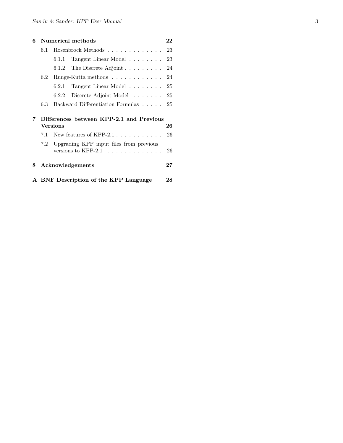| 6  | Numerical methods |          |                                                            | 22 |
|----|-------------------|----------|------------------------------------------------------------|----|
|    | 6.1               |          | Rosenbrock Methods $\ldots \ldots \ldots \ldots \ldots$ 23 |    |
|    |                   | 6.1.1    | Tangent Linear Model 23                                    |    |
|    |                   | 6.1.2    | The Discrete Adjoint $\ldots \ldots \ldots 24$             |    |
|    | 6.2               |          | Runge-Kutta methods $\ldots \ldots \ldots \ldots 24$       |    |
|    |                   | 6.2.1    | Tangent Linear Model 25                                    |    |
|    |                   | 6.2.2    | Discrete Adjoint Model $\ldots$ 25                         |    |
|    | 6.3               |          | Backward Differentiation Formulas 25                       |    |
| 7  |                   | Versions | Differences between KPP-2.1 and Previous                   | 26 |
|    | 7.1               |          | New features of KPP-2.1 $\dots \dots \dots$                | 26 |
|    | 7.2               |          | Upgrading KPP input files from previous                    | 26 |
| 8. |                   |          | Acknowledgements                                           | 27 |
|    |                   |          | A BNF Description of the KPP Language                      | 28 |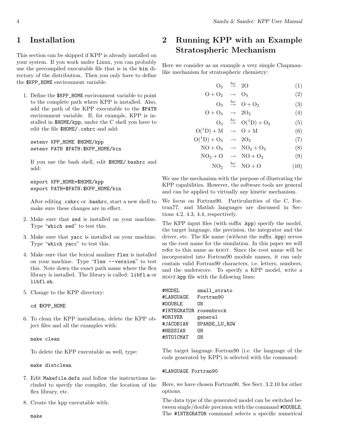# 1 Installation

This section can be skipped if KPP is already installed on your system. If you work under Linux, you can probably use the precompiled executable file that is in the bin directory of the distribution. Then you only have to define the \$KPP\_HOME environment variable.

1. Define the \$KPP\_HOME environment variable to point to the complete path where KPP is installed. Also, add the path of the KPP executable to the \$PATH environment variable. If, for example, KPP is installed in \$HOME/kpp, under the C shell you have to edit the file \$HOME/.cshrc and add:

setenv KPP\_HOME \$HOME/kpp setenv PATH \$PATH:\$KPP\_HOME/bin

If you use the bash shell, edit \$HOME/.bashrc and add:

```
export KPP_HOME=$HOME/kpp
export PATH=$PATH:$KPP_HOME/bin
```
After editing .cshrc or .bashrc, start a new shell to make sure these changes are in effect.

- 2. Make sure that sed is installed on your machine. Type "which sed" to test this.
- 3. Make sure that yacc is installed on your machine. Type "which yacc" to test this.
- 4. Make sure that the lexical analizer flex is installed on your machine. Type "flex --version" to test this. Note down the exact path name where the flex library is installed. The library is called: libfl.a or libfl.sh.
- 5. Change to the KPP directory:

cd \$KPP\_HOME

6. To clean the KPP installation, delete the KPP object files and all the examples with:

make clean

To delete the KPP executable as well, type:

make distclean

- 7. Edit Makefile.defs and follow the instructions included to specify the compiler, the location of the flex library, etc.
- 8. Create the kpp executable with:

2 Running KPP with an Example Stratospheric Mechanism

Here we consider as an example a very simple Chapmanlike mechanism for stratospheric chemistry:

$$
O_2 \stackrel{h\nu}{\rightarrow} 2O \tag{1}
$$

$$
O + O_2 \rightarrow O_3 \tag{2}
$$

 $\mathcal{O}_3 \stackrel{h\nu}{\rightarrow} \mathcal{O} + \mathcal{O}_2$  (3)

$$
O + O_3 \rightarrow 2O_2 \tag{4}
$$

$$
O_3 \stackrel{h\nu}{\rightarrow} O(^1D) + O_2 \tag{5}
$$

$$
O(^{1}D) + M \rightarrow O + M
$$
 (6)  

$$
O(^{1}D) + O_{3} \rightarrow 2O_{2}
$$
 (7)

$$
NO + O_3 \rightarrow NO_2 + O_2 \tag{8}
$$

$$
NO_2 + O \rightarrow NO + O_2 \tag{9}
$$

 $NO_2 \stackrel{h\nu}{\rightarrow} NO + O$  (10)

We use the mechanism with the purpose of illustrating the KPP capabilities. However, the software tools are general and can be applied to virtually any kinetic mechanism.

We focus on Fortran90. Particularities of the C, Fortran77, and Matlab languages are discussed in Sections 4.2, 4.3, 4.4, respectively.

The KPP input files (with suffix .kpp) specify the model, the target language, the precision, the integrator and the driver, etc. The file name (without the suffix .kpp) serves as the root name for the simulation. In this paper we will refer to this name as ROOT. Since the root name will be incorporated into Fortran90 module names, it can only contain valid Fortran90 characters, i.e. letters, numbers, and the underscore. To specify a KPP model, write a ROOT.kpp file with the following lines:

| #MODEL                 | small_strato         |
|------------------------|----------------------|
| #LANGUAGE              | Fortran90            |
| #DOUBLE                | ΩN                   |
| #INTEGRATOR rosenbrock |                      |
|                        |                      |
| #DR.TVER               | general              |
| #JACOBIAN              | <b>SPARSE LU ROW</b> |
| #HESSIAN               | NΩ                   |
| #STOICMAT              | NΠ                   |

The target language Fortran90 (i.e. the language of the code generated by KPP) is selected with the command:

#### #LANGUAGE Fortran90

Here, we have chosen Fortran90. See Sect. 3.2.10 for other options.

The data type of the generated model can be switched between single/double precision with the command #DOUBLE. The #INTEGRATOR command selects a specific numerical

make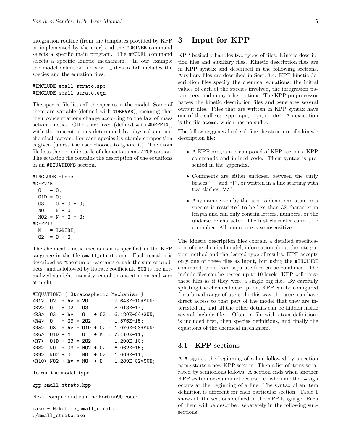integration routine (from the templates provided by KPP or implemented by the user) and the #DRIVER command selects a specific main program. The #MODEL command selects a specific kinetic mechanism. In our example the model definition file small\_strato.def includes the species and the equation files,

#INCLUDE small\_strato.spc #INCLUDE small\_strato.eqn

The species file lists all the species in the model. Some of them are variable (defined with #DEFVAR), meaning that their concentrations change according to the law of mass action kinetics. Others are fixed (defined with #DEFFIX), with the concentrations determined by physical and not chemical factors. For each species its atomic composition is given (unless the user chooses to ignore it). The atom file lists the periodic table of elements in an #ATOM section. The equation file contains the description of the equations in an #EQUATIONS section.

#### #INCLUDE atoms

#DEFVAR  $0 = 0;$  $01D = 0;$  $03 = 0 + 0 + 0;$  $NO = N + O;$  $NO2 = N + O + O;$ #DEFFIX  $M = IGNORE;$  $02 = 0 + 0$ ;

The chemical kinetic mechanism is specified in the KPP language in the file small\_strato.eqn. Each reaction is described as "the sum of reactants equals the sum of products" and is followed by its rate coefficient. SUN is the normalized sunlight intensity, equal to one at noon and zero at night.

```
#EQUATIONS { Stratospheric Mechanism }
```

```
\langle R1 > 02 + hv = 20 : 2.643E-10*SUM;\langle R2 \rangle 0 + 02 = 03 : 8.018E-17;
\langle R3 \rangle 03 + hv = 0 + 02 : 6.120E-04*SUN;
<R4> 0 + 03 = 202 : 1.576E-15;
<R5> O3 + hv = O1D + O2 : 1.070E-03*SUN;
R6 > 01D + M = 0 + M : 7.110E-11;\langle R7 \rangle 01D + 03 = 202 : 1.200E-10;
<R8> NO + O3 = NO2 + O2 : 6.062E-15;
R9> NO2 + 0 = NO + 02 : 1.069E-11;
\langle R10 \rangle NO2 + hv = NO + 0 : 1.289E-02*SUN;
```
To run the model, type:

kpp small\_strato.kpp

Next, compile and run the Fortran90 code:

```
make -fMakefile_small_strato
./small_strato.exe
```
# 3 Input for KPP

KPP basically handles two types of files: Kinetic description files and auxiliary files. Kinetic description files are in KPP syntax and described in the following sections. Auxiliary files are described in Sect. 3.4. KPP kinetic description files specify the chemical equations, the initial values of each of the species involved, the integration parameters, and many other options. The KPP preprocessor parses the kinetic description files and generates several output files. Files that are written in KPP syntax have one of the suffixes .kpp, .spc, .eqn, or .def. An exception is the file atoms, which has no suffix.

The following general rules define the structure of a kinetic description file:

- A KPP program is composed of KPP sections, KPP commands and inlined code. Their syntax is presented in the appendix.
- Comments are either enclosed between the curly braces "{" and "}", or written in a line starting with two slashes "//".
- Any name given by the user to denote an atom or a species is restricted to be less than 32 character in length and can only contain letters, numbers, or the underscore character. The first character cannot be a number. All names are case insensitive.

The kinetic description files contain a detailed specification of the chemical model, information about the integration method and the desired type of results. KPP accepts only one of these files as input, but using the #INCLUDE command, code from separate files cn be combined. The include files can be nested up to 10 levels. KPP will parse these files as if they were a single big file. By carefully splitting the chemical description, KPP can be configured for a broad range of users. In this way the users can have direct access to that part of the model that they are interested in, and all the other details can be hidden inside several include files. Often, a file with atom definitions is included first, then species definitions, and finally the equations of the chemical mechanism.

### 3.1 KPP sections

A # sign at the beginning of a line followed by a section name starts a new KPP section. Then a list of items separated by semicolons follows. A section ends when another KPP section or command occurs, i.e. when another # sign occurs at the beginning of a line. The syntax of an item definition is different for each particular section. Table 1 shows all the sections defined in the KPP language. Each of them will be described separately in the following subsections.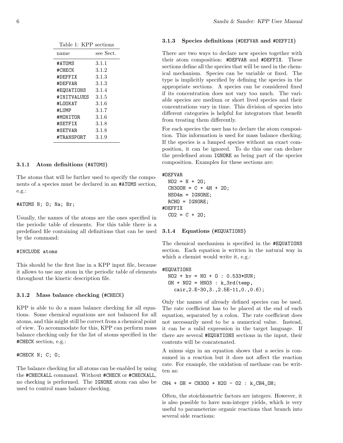| Table 1: KPP sections |
|-----------------------|
| see Sect.             |
| 3.1.1                 |
| 3.1.2                 |
| 3.1.3                 |
| 3.1.3                 |
| 3.1.4                 |
| 3.1.5                 |
| 3.1.6                 |
| 3.1.7                 |
| 3.1.6                 |
| 3.1.8                 |
| 3.1.8                 |
| 3.1.9                 |
|                       |

#### 3.1.1 Atom definitions (#ATOMS)

The atoms that will be further used to specify the components of a species must be declared in an #ATOMS section, e.g.:

#ATOMS N; O; Na; Br;

Usually, the names of the atoms are the ones specified in the periodic table of elements. For this table there is a predefined file containing all definitions that can be used by the command:

#### #INCLUDE atoms

This should be the first line in a KPP input file, because it allows to use any atom in the periodic table of elements throughout the kinetic description file.

#### 3.1.2 Mass balance checking (#CHECK)

KPP is able to do a mass balance checking for all equations. Some chemical equations are not balanced for all atoms, and this might still be correct from a chemical point of view. To accommodate for this, KPP can perform mass balance checking only for the list of atoms specified in the #CHECK section, e.g.:

#CHECK N; C; O;

The balance checking for all atoms can be enabled by using the #CHECKALL command. Without #CHECK or #CHECKALL, no checking is performed. The IGNORE atom can also be used to control mass balance checking.

#### 3.1.3 Species definitions (#DEFVAR and #DEFFIX)

There are two ways to declare new species together with their atom composition: #DEFVAR and #DEFFIX. These sections define all the species that will be used in the chemical mechanism. Species can be variable or fixed. The type is implicitly specified by defining the species in the appropriate sections. A species can be considered fixed if its concentration does not vary too much. The variable species are medium or short lived species and their concentrations vary in time. This division of species into different categories is helpful for integrators that benefit from treating them differently.

For each species the user has to declare the atom composition. This information is used for mass balance checking. If the species is a lumped species without an exact composition, it can be ignored. To do this one can declare the predefined atom IGNORE as being part of the species composition. Examples for these sections are:

```
#DEFVAR
```

```
NO2 = N + 20;CH3OOH = C + 4H + 20;HSO4m = IGNORE;RCHO = IGNORE;
#DEFFIX
  CO2 = C + 20;
```
#### 3.1.4 Equations (#EQUATIONS)

The chemical mechanism is specified in the #EQUATIONS section. Each equation is written in the natural way in which a chemist would write it, e.g.:

#### #EQUATIONS

```
NO2 + hv = NO + O : O.533 * SUM;OH + NO2 = HNO3 : k_3rd(temp,cair,2.E-30,3.,2.5E-11,0.,0.6);
```
Only the names of already defined species can be used. The rate coefficient has to be placed at the end of each equation, separated by a colon. The rate coefficient does not necessarily need to be a numerical value. Instead, it can be a valid expression in the target language. If there are several #EQUATIONS sections in the input, their contents will be concatenated.

A minus sign in an equation shows that a secies is consumed in a reaction but it does not affect the reaction rate. For example, the oxidation of methane can be written as:

 $CH4 + OH = CH3O0 + H2O - O2 : k_CCH4_OH;$ 

Often, the stoichiometric factors are integers. However, it is also possible to have non-integer yields, which is very useful to parameterize organic reactions that branch into several side reactions: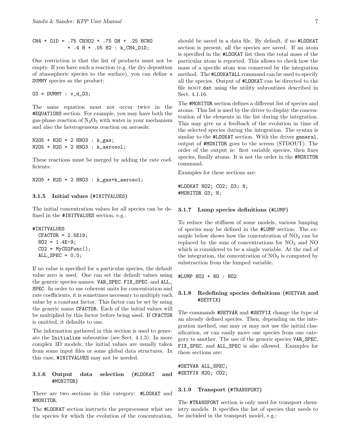CH4 + O1D = .75 CH3O2 + .75 OH + .25 HCHO + .4 H + .05 H2 : k\_CH4\_O1D;

One restriction is that the list of products must not be empty. If you have such a reaction (e.g. the dry deposition of atmospheric species to the surface), you can define a DUMMY species as the product:

 $03 = DUMMY : v_d_03;$ 

The same equation must not occur twice in the #EQUATIONS section. For example, you may have both the gas-phase reaction of  $N_2O_5$  with water in your mechanism and also the heterogeneous reaction on aerosols:

```
N205 + H20 = 2 HNO3 : k_{gas};
N2O5 + H2O = 2 HNO3 : k_aerosol;
```
These reactions must be merged by adding the rate coefficients:

N2O5 + H2O = 2 HNO3 : k\_gas+k\_aerosol;

#### 3.1.5 Initial values (#INITVALUES)

The initial concentration values for all species can be defined in the #INITVALUES section, e.g.:

```
#INITVALUES
 CFACTOR = 2.5E19;
  NO2 = 1.4E-9;CO2 = MyCO2Func();
  ALL\_SPEC = 0.0;
```
If no value is specified for a particular species, the default value zero is used. One can set the default values using the generic species names: VAR\_SPEC, FIX\_SPEC, and ALL\_ SPEC. In order to use coherent units for concentration and rate coefficients, it is sometimes necessary to multiply each value by a constant factor. This factor can be set by using the generic name CFACTOR. Each of the initial values will be multiplied by this factor before being used. If CFACTOR is omitted, it defaults to one.

The information gathered in this section is used to generate the Initialize subroutine (see Sect. 4.1.3). In more complex 3D models, the initial values are usually taken from some input files or some global data structures. In this case, #INITVALUES may not be needed.

#### 3.1.6 Output data selection (#LOOKAT and #MONITOR)

There are two sections in this category: #LOOKAT and #MONITOR.

The #LOOKAT section instructs the preprocessor what are the species for which the evolution of the concentration,

should be saved in a data file. By default, if no #LOOKAT section is present, all the species are saved. If an atom is specified in the #LOOKAT list then the total mass of the particular atom is reported. This allows to check how the mass of a specific atom was conserved by the integration method. The #LOOKATALL command can be used to specify all the species. Output of #LOOKAT can be directed to the file ROOT.dat using the utility subroutines described in Sect. 4.1.16.

The #MONITOR section defines a different list of species and atoms. This list is used by the driver to display the concentration of the elements in the list during the integration. This may give us a feedback of the evolution in time of the selected species during the integration. The syntax is similar to the #LOOKAT section. With the driver general, output of #MONITOR goes to the screen (STDOUT). The order of the output is: first variable species, then fixes species, finally atoms. It is not the order in the #MONITOR command.

Examples for these sections are:

#LOOKAT NO2; CO2; O3; N; #MONITOR O3; N;

#### 3.1.7 Lump species definitions (#LUMP)

To reduce the stiffness of some models, various lumping of species may be defined in the #LUMP section. The example below shows how the concentration of  $NO<sub>2</sub>$  can be replaced by the sum of concentrations for  $NO<sub>2</sub>$  and  $NO<sub>2</sub>$ which is considered to be a single variable. At the end of the integration, the concentration of  $NO<sub>2</sub>$  is computed by substraction from the lumped variable.

#LUMP NO2 + NO : NO2

#### 3.1.8 Redefining species definitions (#SETVAR and #SETFIX)

The commands #SETVAR and #SETFIX change the type of an already defined species. Then, depending on the integration method, one may or may not use the initial classification, or can easily move one species from one category to another. The use of the generic species VAR\_SPEC, FIX\_SPEC, and ALL\_SPEC is also allowed. Examples for these sections are:

#SETVAR ALL\_SPEC; #SETFIX H2O; CO2;

#### 3.1.9 Transport (#TRANSPORT)

The #TRANSPORT section is only used for transport chemistry models. It specifies the list of species that needs to be included in the transport model, e.g.: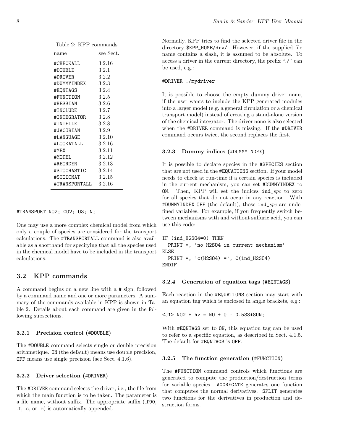| Table 2: KPP commands |           |
|-----------------------|-----------|
| name                  | see Sect. |
| #CHECKALL             | 3.2.16    |
| #DOUBLE               | 3.2.1     |
| #DR.TVER              | 3.2.2     |
| #DUMMYINDEX           | 3.2.3     |
| #EQNTAGS              | 3.2.4     |
| #FUNCTION             | 3.2.5     |
| #HESSIAN              | 3.2.6     |
| #INCLUDE              | 3.2.7     |
| #INTEGRATOR           | 3.2.8     |
| #INTFILE              | 3.2.8     |
| #JACOBIAN             | 3.2.9     |
| #LANGUAGE             | 3.2.10    |
| #I.OOKATALI.          | 3.2.16    |
| #MEX                  | 3.2.11    |
| #MODEI.               | 3.2.12    |
| #REORDER              | 3.2.13    |
| #STOCHASTIC           | 3.2.14    |
| #STOICMAT             | 3.2.15    |
| #TRANSPORTALL         | - 3.2.16  |

#TRANSPORT NO2; CO2; O3; N;

One may use a more complex chemical model from which only a couple of species are considered for the transport calculations. The #TRANSPORTALL command is also available as a shorthand for specifying that all the species used in the chemical model have to be included in the transport calculations.

#### 3.2 KPP commands

A command begins on a new line with a # sign, followed by a command name and one or more parameters. A summary of the commands available in KPP is shown in Table 2. Details about each command are given in the following subsections.

#### 3.2.1 Precision control (#DOUBLE)

The #DOUBLE command selects single or double precision arithmetique. ON (the default) means use double precision, OFF means use single precision (see Sect. 4.1.6).

#### 3.2.2 Driver selection (#DRIVER)

The #DRIVER command selects the driver, i.e., the file from which the main function is to be taken. The parameter is a file name, without suffix. The appropriate suffix (.f90, .f, .c, or .m) is automatically appended.

Normally, KPP tries to find the selected driver file in the directory \$KPP\_HOME/drv/. However, if the supplied file name contains a slash, it is assumed to be absolute. To access a driver in the current directory, the prefix "./" can be used, e.g.:

#### #DRIVER ./mydriver

It is possible to choose the empty dummy driver none, if the user wants to include the KPP generated modules into a larger model (e.g. a general circulation or a chemical transport model) instead of creating a stand-alone version of the chemical integrator. The driver none is also selected when the #DRIVER command is missing. If the #DRIVER command occurs twice, the second replaces the first.

#### 3.2.3 Dummy indices (#DUMMYINDEX)

It is possible to declare species in the #SPECIES section that are not used in the #EQUATIONS section. If your model needs to check at run-time if a certain species is included in the current mechanism, you can set #DUMMYINDEX to ON. Then, KPP will set the indices  $ind\_spc$  to zero for all species that do not occur in any reaction. With #DUMMYINDEX OFF (the default), those ind\_spc are undefined variables. For example, if you frequently switch between mechanisms with and without sulfuric acid, you can use this code:

```
IF (ind_H2SO4=0) THEN
  PRINT *, 'no H2SO4 in current mechanism'
ELSE
  PRINT *, 'c(H2S04) = ', C(ind_H2S04)ENDIF
```
#### 3.2.4 Generation of equation tags (#EQNTAGS)

Each reaction in the #EQUATIONS section may start with an equation tag which is enclosed in angle brackets, e.g.:

<J1> NO2 + hv = NO + O : 0.533\*SUN;

With #EQNTAGS set to ON, this equation tag can be used to refer to a specific equation, as described in Sect. 4.1.5. The default for #EQNTAGS is OFF.

#### 3.2.5 The function generation (#FUNCTION)

The #FUNCTION command controls which functions are generated to compute the production/destruction terms for variable species. AGGREGATE generates one function that computes the normal derivatives. SPLIT generates two functions for the derivatives in production and destruction forms.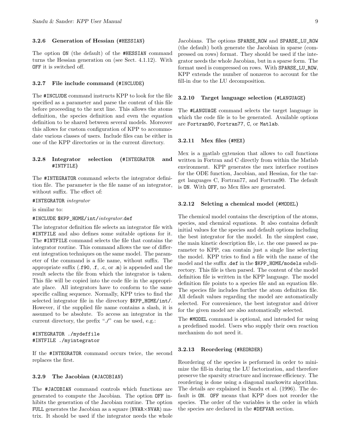#### 3.2.6 Generation of Hessian (#HESSIAN)

The option ON (the default) of the #HESSIAN command turns the Hessian generation on (see Sect. 4.1.12). With OFF it is switched off.

#### 3.2.7 File include command (#INCLUDE)

The #INCLUDE command instructs KPP to look for the file specified as a parameter and parse the content of this file before proceeding to the next line. This allows the atoms definition, the species definition and even the equation definition to be shared between several models. Moreover this allows for custom configuration of KPP to accommodate various classes of users. Include files can be either in one of the KPP directories or in the current directory.

#### 3.2.8 Integrator selection (#INTEGRATOR and #INTFILE)

The #INTEGRATOR command selects the integrator definition file. The parameter is the file name of an integrator, without suffix. The effect of:

#INTEGRATOR integrator

is similar to:

#### #INCLUDE \$KPP\_HOME/int/integrator.def

The integrator definition file selects an integrator file with #INTFILE and also defines some suitable options for it. The #INTFILE command selects the file that contains the integrator routine. This command allows the use of different integration techniques on the same model. The parameter of the command is a file name, without suffix. The appropriate suffix (.f90, .f, .c, or .m) is appended and the result selects the file from which the integrator is taken. This file will be copied into the code file in the appropriate place. All integrators have to conform to the same specific calling sequence. Normally, KPP tries to find the selected integrator file in the directory \$KPP\_HOME/int/. However, if the supplied file name contains a slash, it is assumed to be absolute. To access an integrator in the current directory, the prefix "./" can be used, e.g.:

#### #INTEGRATOR ./mydeffile #INTFILE ./myintegrator

If the #INTEGRATOR command occurs twice, the second replaces the first.

#### 3.2.9 The Jacobian (#JACOBIAN)

The #JACOBIAN command controls which functions are generated to compute the Jacobian. The option OFF inhibits the generation of the Jacobian routine. The option FULL generates the Jacobian as a square (NVAR×NVAR) matrix. It should be used if the integrator needs the whole

Jacobians. The options SPARSE\_ROW and SPARSE\_LU\_ROW (the default) both generate the Jacobian in sparse (compressed on rows) format. They should be used if the integrator needs the whole Jacobian, but in a sparse form. The format used is compressed on rows. With SPARSE\_LU\_ROW, KPP extends the number of nonzeros to account for the fill-in due to the LU decomposition.

#### 3.2.10 Target language selection (#LANGUAGE)

The #LANGUAGE command selects the target language in which the code file is to be generated. Available options are Fortran90, Fortran77, C, or Matlab.

#### 3.2.11 Mex files (#MEX)

Mex is a matlab extension that allows to call functions written in Fortran and C directly from within the Matlab environment. KPP generates the mex interface routines for the ODE function, Jacobian, and Hessian, for the target languages C, Fortran77, and Fortran90. The default is ON. With OFF, no Mex files are generated.

#### 3.2.12 Selcting a chemical model (#MODEL)

The chemical model contains the description of the atoms, species, and chemical equations. It also contains default initial values for the species and default options including the best integrator for the model. In the simplest case, the main kinetic description file, i.e. the one passed as parameter to KPP, can contain just a single line selecting the model. KPP tries to find a file with the name of the model and the suffix .def in the \$KPP\_HOME/models subdirectory. This file is then parsed. The content of the model definition file is written in the KPP language. The model definition file points to a species file and an equation file. The species file includes further the atom definition file. All default values regarding the model are automatically selected. For convenience, the best integrator and driver for the given model are also automatically selected.

The #MODEL command is optional, and intended for using a predefined model. Users who supply their own reaction mechanism do not need it.

#### 3.2.13 Reordering (#REORDER)

Reordering of the species is performed in order to minimize the fill-in during the LU factorization, and therefore preserve the sparsity structure and increase efficiency. The reordering is done using a diagonal markowitz algorithm. The details are explained in Sandu et al. (1996). The default is ON. OFF means that KPP does not reorder the species. The order of the variables is the order in which the species are declared in the #DEFVAR section.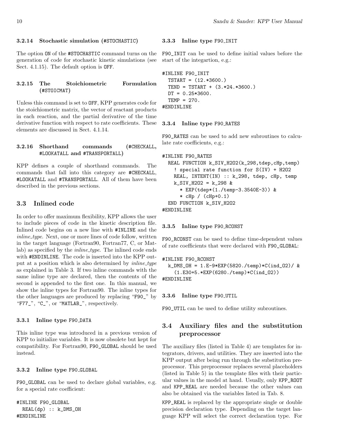#### 3.2.14 Stochastic simulation (#STOCHASTIC)

The option ON of the #STOCHASTIC command turns on the F90\_INIT can be used to define initial values before the generation of code for stochastic kinetic simulations (see start of the integartion, e.g.: Sect. 4.1.15). The default option is OFF.

#### 3.2.15 The Stoichiometric Formulation (#STOICMAT)

Unless this command is set to OFF, KPP generates code for the stoichiometric matrix, the vector of reactant products in each reaction, and the partial derivative of the time derivative function with respect to rate coefficients. These elements are discussed in Sect. 4.1.14.

#### 3.2.16 Shorthand commands (#CHECKALL, #LOOKATALL and #TRANSPORTALL)

KPP defines a couple of shorthand commands. The commands that fall into this category are #CHECKALL, #LOOKATALL and #TRANSPORTALL. All of them have been described in the previous sections.

### 3.3 Inlined code

In order to offer maximum flexibility, KPP allows the user to include pieces of code in the kinetic description file. Inlined code begins on a new line with #INLINE and the inline\_type. Next, one or more lines of code follow, written in the target language (Fortran90, Fortran77, C, or Matlab) as specified by the *inline\_type*. The inlined code ends with #ENDINLINE. The code is inserted into the KPP output at a position which is also determined by *inline\_type* as explained in Table 3. If two inline commands with the same inline type are declared, then the contents of the second is appended to the first one. In this manual, we show the inline types for Fortran90. The inline types for the other languages are produced by replacing "F90\_" by "F77\_", "C\_", or "MATLAB\_", respectively.

#### 3.3.1 Inline type F90 DATA

This inline type was introduced in a previous version of KPP to initialize variables. It is now obsolete but kept for compatibility. For Fortran90, F90\_GLOBAL should be used instead.

#### 3.3.2 Inline type F90 GLOBAL

F90\_GLOBAL can be used to declare global variables, e.g. for a special rate coefficient:

#INLINE F90\_GLOBAL REAL(dp) :: k\_DMS\_OH #ENDINLINE

#### 3.3.3 Inline type F90 INIT

```
#INLINE F90_INIT
  TSTART = (12.*3600.)
  TEND = TSTART + (3.*24.*3600.)
  DT = 0.25*3600.TEMP = 270.
#ENDINLINE
```
#### 3.3.4 Inline type F90 RATES

F90\_RATES can be used to add new subroutines to calculate rate coefficients, e.g.:

```
#INLINE F90_RATES
  REAL FUNCTION k_SIV_H2O2(k_298,tdep,cHp,temp)
    ! special rate function for S(IV) + H2O2
    REAL, INTENT(IN) :: k_298, tdep, cHp, temp
    k_SIV_H2O2 = k_298 &
      * EXP(tdep*(1./temp-3.3540E-3)) &
      * cHp / (cHp+0.1)
  END FUNCTION k_SIV_H2O2
#ENDINLINE
```
#### 3.3.5 Inline type F90 RCONST

F90\_RCONST can be used to define time-dependent values of rate coefficients that were declared with F90\_GLOBAL:

```
#INLINE F90_RCONST
  k_DMS_OH = 1.E-9*EXP(5820./temp)*C(ind_02)/ &(1.E30+5.*EXP(6280./temp)*C(ind_O2))
#ENDINLINE
```
3.3.6 Inline type F90 UTIL

F90\_UTIL can be used to define utility subroutines.

# 3.4 Auxiliary files and the substitution preprocessor

The auxiliary files (listed in Table 4) are templates for integrators, drivers, and utilities. They are inserted into the KPP output after being run through the substitution preprocessor. This preprocessor replaces several placeholders (listed in Table 5) in the template files with their particular values in the model at hand. Usually, only KPP\_ROOT and KPP\_REAL are needed because the other values can also be obtained via the variables listed in Tab. 8.

KPP\_REAL is replaced by the appropriate single or double precision declaration type. Depending on the target language KPP will select the correct declaration type. For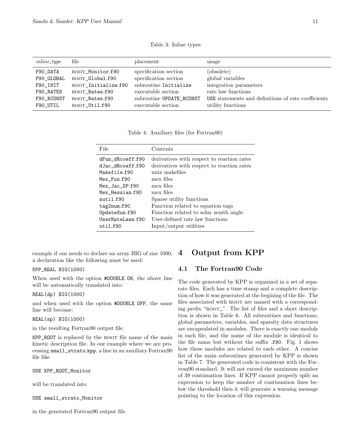| $inline\_type$ | file                | placement                | usage                                               |
|----------------|---------------------|--------------------------|-----------------------------------------------------|
| F90_DATA       | ROOT_Monitor.f90    | specification section    | (obsolete)                                          |
| F90_GLOBAL     | ROOT_Global.f90     | specification section    | global variables                                    |
| F90_INIT       | ROOT_Initialize.f90 | subroutine Initialize    | integration parameters                              |
| F90_RATES      | ROOT_Rates.f90      | executable section       | rate law functions                                  |
| F90_RCONST     | ROOT_Rates.f90      | subroutine UPDATE_RCONST | USE statements and definitions of rate coefficients |
| F90 UTIL       | ROOT_Util.f90       | executable section       | utility functions                                   |

Table 3: Inline types

Table 4: Auxiliary files (for Fortran90)

| File                                                                                                                                                                      | Contents                                                                                                                                                                                                                                                                                        |
|---------------------------------------------------------------------------------------------------------------------------------------------------------------------------|-------------------------------------------------------------------------------------------------------------------------------------------------------------------------------------------------------------------------------------------------------------------------------------------------|
| dFun dRcoeff.f90<br>dJac dRcoeff.f90<br>Makefile.f90<br>Mex_Fun.f90<br>Mex_Jac_SP.f90<br>Mex Hessian.f90<br>suit1.f90<br>tag2num.f90<br>UpdateSun.f90<br>UserRateLaws.f90 | derivatives with respect to reaction rates<br>derivatives with respect to reaction rates<br>unix makefiles<br>mex files<br>mex files<br>mex files<br>Sparse utility functions<br>Function related to equation tags<br>Function related to solar zenith angle<br>User-defined rate law functions |
| util.f90                                                                                                                                                                  | Input/output utilities                                                                                                                                                                                                                                                                          |

example if one needs to declare an array BIG of size 1000, a declaration like the following must be used:

#### KPP\_REAL BIG(1000)

When used with the option #DOUBLE ON, the above line will be automatically translated into:

#### REAL(dp) BIG(1000)

and when used with the option #DOUBLE OFF, the same line will become:

#### REAL(sp) BIG(1000)

in the resulting Fortran90 output file.

KPP\_ROOT is replaced by the root file name of the main kinetic description file. In our example where we are processing small\_strato.kpp, a line in an auxiliary Fortran90 file like

USE KPP\_ROOT\_Monitor

will be translated into

USE small\_strato\_Monitor

in the generated Fortran90 output file.

# 4 Output from KPP

## 4.1 The Fortran90 Code

The code generated by KPP is organized in a set of separate files. Each has a time stamp and a complete description of how it was generated at the begining of the file. The files associated with ROOT are named with a corresponding prefix "root\_". The list of files and a short description is shown in Table 6. All subroutines and functions, global parameters, variables, and sparsity data structures are encapsulated in modules. There is exactly one module in each file, and the name of the module is identical to the file name but without the suffix .f90. Fig. 1 shows how these modules are related to each other. A concise list of the main subroutines generated by KPP is shown in Table 7. The generated code is consistent with the Fortran90 standard. It will not exceed the maximum number of 39 continuation lines. If KPP cannot properly split an expression to keep the number of continuation lines below the threshold then it will generate a warning message pointing to the location of this expression.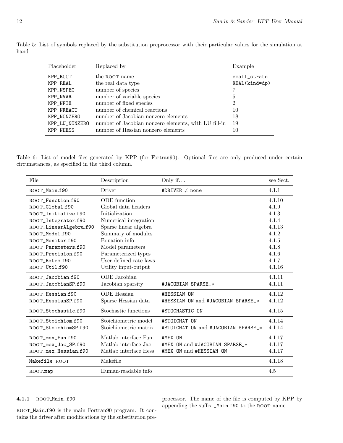| Placeholder    | Replaced by                                          | Example       |
|----------------|------------------------------------------------------|---------------|
| KPP_ROOT       | the ROOT name                                        | small_strato  |
| KPP_REAL       | the real data type                                   | REAL(kind=dp) |
| KPP_NSPEC      | number of species                                    |               |
| KPP_NVAR       | number of variable species                           | 5             |
| KPP_NFIX       | number of fixed species                              | 2             |
| KPP_NREACT     | number of chemical reactions                         | 10            |
| KPP_NONZERO    | number of Jacobian nonzero elements                  | 18            |
| KPP_LU_NONZERO | number of Jacobian nonzero elements, with LU fill-in | 19            |
| KPP_NHESS      | number of Hessian nonzero elements                   | 10            |

Table 5: List of symbols replaced by the substitution preprocessor with their particular values for the simulation at hand

Table 6: List of model files generated by KPP (for Fortran90). Optional files are only produced under certain circumstances, as specified in the third column.

| File                   | Description            | Only if                             | see Sect. |
|------------------------|------------------------|-------------------------------------|-----------|
| ROOT_Main.f90          | Driver                 | #DRIVER $\neq$ none                 | 4.1.1     |
| ROOT_Function.f90      | ODE function           |                                     | 4.1.10    |
| ROOT_Global.f90        | Global data headers    |                                     | 4.1.9     |
| ROOT_Initialize.f90    | Initialization         |                                     | 4.1.3     |
| ROOT_Integrator.f90    | Numerical integration  |                                     | 4.1.4     |
| ROOT_LinearAlgebra.f90 | Sparse linear algebra  |                                     | 4.1.13    |
| ROOT_Model.f90         | Summary of modules     |                                     | 4.1.2     |
| ROOT_Monitor.f90       | Equation info          |                                     | 4.1.5     |
| ROOT_Parameters.f90    | Model parameters       |                                     | 4.1.8     |
| ROOT Precision.f90     | Parameterized types    |                                     | 4.1.6     |
| ROOT_Rates.f90         | User-defined rate laws |                                     | 4.1.7     |
| ROOT_Util.f90          | Utility input-output   |                                     | 4.1.16    |
| ROOT_Jacobian.f90      | ODE Jacobian           |                                     | 4.1.11    |
| ROOT_JacobianSP.f90    | Jacobian sparsity      | #JACOBIAN SPARSE_*                  | 4.1.11    |
| ROOT_Hessian.f90       | <b>ODE</b> Hessian     | #HESSIAN ON                         | 4.1.12    |
| ROOT_HessianSP.f90     | Sparse Hessian data    | #HESSIAN ON and #JACOBIAN SPARSE_*  | 4.1.12    |
| ROOT_Stochastic.f90    | Stochastic functions   | #STOCHASTIC ON                      | 4.1.15    |
| ROOT_Stoichiom.f90     | Stoichiometric model   | #STOICMAT ON                        | 4.1.14    |
| ROOT_StoichiomSP.f90   | Stoichiometric matrix  | #STOICMAT ON and #JACOBIAN SPARSE_* | 4.1.14    |
| ROOT_mex_Fun.f90       | Matlab interface Fun   | #MEX ON                             | 4.1.17    |
| ROOT_mex_Jac_SP.f90    | Matlab interface Jac   | #MEX ON and #JACOBIAN SPARSE *      | 4.1.17    |
| ROOT_mex_Hessian.f90   | Matlab interface Hess  | #MEX ON and #HESSIAN ON             | 4.1.17    |
| Makefile_ROOT          | Makefile               |                                     | 4.1.18    |
| ROOT.map               | Human-readable info    |                                     | 4.5       |

#### 4.1.1 ROOT\_Main.f90

ROOT\_Main.f90 is the main Fortran90 program. It contains the driver after modifications by the substitution preprocessor. The name of the file is computed by KPP by appending the suffix  $\_Main.f90$  to the ROOT name.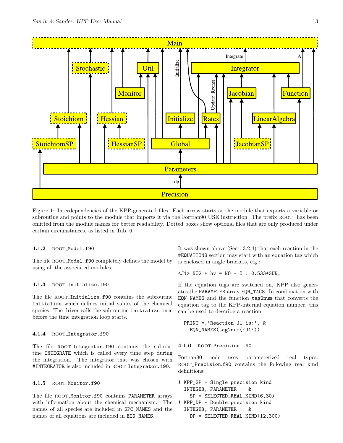

Figure 1: Interdependencies of the KPP-generated files. Each arrow starts at the module that exports a variable or subroutine and points to the module that imports it via the Fortran90 USE instruction. The prefix ROOT<sub>-</sub> has been omitted from the module names for better readability. Dotted boxes show optional files that are only produced under certain circumstances, as listed in Tab. 6.

#### 4.1.2 ROOT\_Model.f90

The file ROOT\_Model.f90 completely defines the model by using all the associated modules.

#### 4.1.3 ROOT Initialize.f90

The file ROOT Initialize.f90 contains the subroutine Initialize which defines initial values of the chemical species. The driver calls the subroutine Initialize once before the time integration loop starts.

#### 4.1.4 ROOT\_Integrator.f90

The file ROOT\_Integrator.f90 contains the subroutine INTEGRATE which is called every time step during the integration. The integrator that was chosen with #INTEGRATOR is also included in ROOT\_Integrator.f90.

#### 4.1.5 ROOT\_Monitor.f90

The file ROOT\_Monitor.f90 contains PARAMETER arrays with information about the chemical mechanism. The names of all species are included in SPC\_NAMES and the names of all equations are included in EQN\_NAMES.

It was shown above (Sect. 3.2.4) that each reaction in the #EQUATIONS section may start with an equation tag which is enclosed in angle brackets, e.g.:

<J1> NO2 + hv = NO + O : 0.533\*SUN;

If the equation tags are switched on, KPP also generates the PARAMETER array EQN\_TAGS. In combination with EQN\_NAMES and the function tag2num that converts the equation tag to the KPP-internal equation number, this can be used to describe a reaction:

```
PRINT *,'Reaction J1 is:', &
  EQN_NAMES(tag2num('J1'))
```
#### 4.1.6 ROOT Precision.f90

Fortran90 code uses parameterized real types. ROOT\_Precision.f90 contains the following real kind definitions:

```
! KPP_SP - Single precision kind
  INTEGER, PARAMETER :: &
    SP = SELECTED\_REAL_KIND(6,30)! KPP_DP - Double precision kind
  INTEGER, PARAMETER :: &
    DP = SELECTED_REAL_KIND(12,300)
```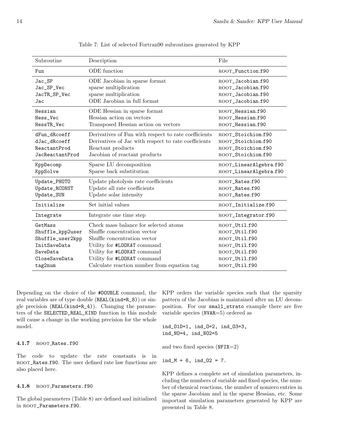| Subroutine       | Description                                          | File                    |
|------------------|------------------------------------------------------|-------------------------|
| Fun              | ODE function                                         | ROOT_Function.f90       |
| Jac_SP           | ODE Jacobian in sparse format                        | ROOT_Jacobian.f90       |
| Jac_SP_Vec       | sparse multiplication                                | ROOT_Jacobian.f90       |
| JacTR_SP_Vec     | sparse multiplication                                | ROOT_Jacobian.f90       |
| Jac              | ODE Jacobian in full format                          | ROOT_Jacobian.f90       |
| Hessian          | ODE Hessian in sparse format                         | ROOT_Hessian.f90        |
| Hess_Vec         | Hessian action on vectors                            | ROOT_Hessian.f90        |
| HessTR_Vec       | Transposed Hessian action on vectors                 | ROOT_Hessian.f90        |
| dFun_dRcoeff     | Derivatives of Fun with respect to rate coefficients | ROOT_Stoichiom.f90      |
| dJac_dRcoeff     | Derivatives of Jac with respect to rate coefficients | ROOT_Stoichiom.f90      |
| ReactantProd     | Reactant products                                    | ROOT_Stoichiom.f90      |
| JacReactantProd  | Jacobian of reactant products                        | ROOT_Stoichiom.f90      |
| KppDecomp        | Sparse LU decomposition                              | ROOT_LinearAlgebra.f90  |
| KppSolve         | Sparse back substitution                             | ROOT_LinearAlgebra.f90  |
| Update_PHOTO     | Update photolysis rate coefficients                  | ROOT_Rates.f90          |
| Update_RCONST    | Update all rate coefficients                         | ROOT_Rates.f90          |
| Update_SUN       | Update solar intensity                               | ROOT_Rates.f90          |
| Initialize       | Set initial values                                   | ROOT_Initialize.f90     |
| Integrate        | Integrate one time step                              | ROOT_Integrator.f90     |
| GetMass          | Check mass balance for selected atoms                | ROOT_Util.f90           |
| Shuffle_kpp2user | Shuffle concentration vector                         | ROOT_Util.f90           |
| Shuffle_user2kpp | Shuffle concentration vector                         | ROOT_Util.f90           |
| InitSaveData     | Utility for #LOOKAT command                          | $\text{ROOT\_Util.f}90$ |
| SaveData         | Utility for #LOOKAT command                          | ROOT_Util.f90           |
| CloseSaveData    | Utility for #LOOKAT command                          | ROOT_Util.f90           |
| tag2num          | Calculate reaction number from equation tag          | ROOT_Util.f90           |

Table 7: List of selected Fortran90 subroutines generated by KPP

Depending on the choice of the #DOUBLE command, the KPP orders the variable species such that the sparsity real variables are of type double (REAL(kind=R\_8)) or single precision (REAL(kind=R\_4)). Changing the parameters of the SELECTED\_REAL\_KIND function in this module will cause a change in the working precision for the whole model.

#### 4.1.7 ROOT Rates.f90

The code to update the rate constants is in ROOT\_Rates.f90. The user defined rate law functions are also placed here.

#### 4.1.8 ROOT\_Parameters.f90

The global parameters (Table 8) are defined and initialized in ROOT\_Parameters.f90.

pattern of the Jacobian is maintained after an LU decomposition. For our small\_strato example there are five variable species (NVAR=5) ordered as

```
ind_O1D=1, ind_O=2, ind_O3=3,
ind_NO=4, ind_NO2=5
```
and two fixed species  $(NFIX=2)$ 

 $ind_M = 6$ ,  $ind_02 = 7$ .

KPP defines a complete set of simulation parameters, including the numbers of variable and fixed species, the number of chemical reactions, the number of nonzero entries in the sparse Jacobian and in the sparse Hessian, etc. Some important simulation parameters generated by KPP are presented in Table 8.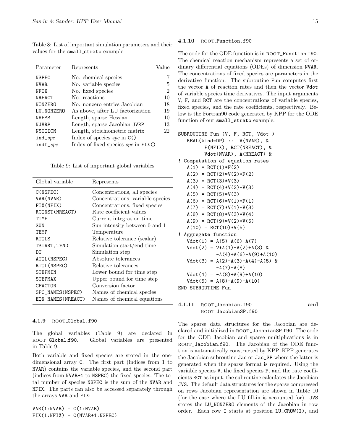Table 8: List of important simulation parameters and their values for the small strato example

| Parameter                 | Represents                              | Value          |
|---------------------------|-----------------------------------------|----------------|
| NSPEC                     | No. chemical species                    |                |
| NVAR.                     | No. variable species                    | 5              |
| <b>NFTX</b>               | No. fixed species                       | $\mathfrak{D}$ |
| NREACT                    | No. reactions                           | 10             |
| NONZERO                   | No. nonzero entries Jacobian            | 18             |
| LU NONZERO                | As above, after LU factorization        | 19             |
| <b>NHESS</b>              | Length, sparse Hessian                  | 10             |
| N.JVR.P                   | Length, sparse Jacobian JVRP            | 13             |
| NSTOICM                   | Length, stoichiometric matrix           | 22             |
| $ind\_spc$                | Index of species $spc$ in $C()$         |                |
| $indf$ <sub>2</sub> $spc$ | Index of fixed species $spc$ in $FIX()$ |                |

Table 9: List of important global variables

| Global variable   | Represents                       |
|-------------------|----------------------------------|
| C(NSPEC)          | Concentrations, all species      |
| VAR(NVAR)         | Concentrations, variable species |
| FIX(NFIX)         | Concentrations, fixed species    |
| RCONST (NREACT)   | Rate coefficient values          |
| TTMF.             | Current integration time         |
| SUN               | Sun intensity between 0 and 1    |
| TF.MP             | Temperature                      |
| <b>RTOLS</b>      | Relative tolerance (scalar)      |
| TSTART, TEND      | Simulation start/end time        |
| DТ                | Simulation step                  |
| ATOL (NSPEC)      | Absolute tolerances              |
| RTOL (NSPEC)      | Relative tolerances              |
| <b>STEPMIN</b>    | Lower bound for time step        |
| <b>STEPMAX</b>    | Upper bound for time step        |
| <b>CFACTOR</b>    | Conversion factor                |
| SPC_NAMES(NSPEC)  | Names of chemical species        |
| EQN_NAMES(NREACT) | Names of chemical equations      |

#### 4.1.9 ROOT\_Global.f90

The global variables (Table 9) are declared in root\_Global.f90. Global variables are presented in Table 9.

Both variable and fixed species are stored in the onedimensional array C. The first part (indices from 1 to NVAR) contains the variable species, and the second part (indices from NVAR+1 to NSPEC) the fixed species. The total number of species NSPEC is the sum of the NVAR and NFIX. The parts can also be accessed separately through the arrays VAR and FIX:

 $VAR(1:NVAR) = C(1:NVAR)$  $FIX(1:NFIX) = C(NVAR+1:NSPEC)$ 

#### 4.1.10 ROOT\_Function.f90

The code for the ODE function is in ROOT\_Function.f90. The chemical reaction mechanism represents a set of ordinary differential equations (ODEs) of dimension NVAR. The concentrations of fixed species are parameters in the derivative function. The subroutine Fun computes first the vector A of reaction rates and then the vector Vdot of variable species time derivatives. The input arguments V, F, and RCT are the concentrations of variable species, fixed species, and the rate coefficients, respectively. Below is the Fortran90 code generated by KPP for the ODE function of our small\_strato example.

```
SUBROUTINE Fun (V, F, RCT, Vdot )
  REAL(kind=DP) :: V(NVAR), &
         F(NFIX), RCT(NREACT), &
         Vdot(NVAR), A(NREACT) &
! Computation of equation rates
  A(1) = RCT(1)*F(2)A(2) = RCT(2)*V(2)*F(2)A(3) = RCT(3)*V(3)A(4) = RCT(4)*V(2)*V(3)A(5) = RCT(5)*V(3)A(6) = RCT(6)*V(1)*F(1)A(7) = RCT(7)*V(1)*V(3)A(8) = RCT(8)*V(3)*V(4)A(9) = RCT(9)*V(2)*V(5)A(10) = RCT(10)*V(5)! Aggregate function
  Vdot(1) = A(5)-A(6)-A(7)Vdot(2) = 2*A(1)-A(2)+A(3) &
             -A(4) + A(6) - A(9) + A(10)Vdot(3) = A(2)-A(3)-A(4)-A(5) &
             -A(7)-A(8)Vdot(4) = -A(8) + A(9) + A(10)Vdot(5) = A(8)-A(9)-A(10)
```
END SUBROUTINE Fun

4.1.11 ROOT\_Jacobian.f90 and root JacobianSP.f90

The sparse data structures for the Jacobian are declared and initialized in root\_JacobianSP.f90. The code for the ODE Jacobian and sparse multiplications is in ROOT\_Jacobian.f90. The Jacobian of the ODE function is automatically constructed by KPP. KPP generates the Jacobian subroutine Jac or Jac\_SP where the latter is generated when the sparse format is required. Using the variable species V, the fixed species F, and the rate coefficients RCT as input, the subroutine calculates the Jacobian JVS. The default data structures for the sparse compressed on rows Jacobian representation are shown in Table 10 (for the case where the LU fill-in is accounted for). JVS stores the LU\_NONZERO elements of the Jacobian in row order. Each row I starts at position LU\_CROW(I), and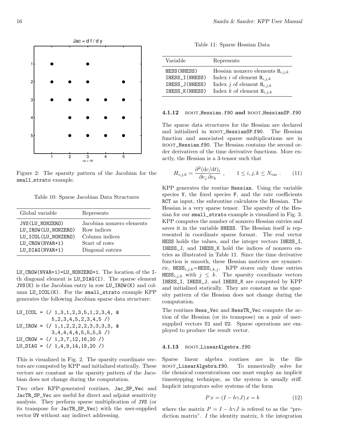

Figure 2: The sparsity pattern of the Jacobian for the small\_strato example.

Table 10: Sparse Jacobian Data Structures

| Global variable                                                                                     | Represents                                                                                      |
|-----------------------------------------------------------------------------------------------------|-------------------------------------------------------------------------------------------------|
| JVS(LU_NONZERO)<br>LU IROW(LU NONZERO)<br>LU ICOL(LU NONZERO)<br>LU_CROW(NVAR+1)<br>LU DIAG(NVAR+1) | Jacobian nonzero elements<br>Row indices<br>Column indices<br>Start of rows<br>Diagonal entries |
|                                                                                                     |                                                                                                 |

LU\_CROW(NVAR+1)=LU\_NONZERO+1. The location of the Ith diagonal element is LU\_DIAG(I). The sparse element JVS(K) is the Jacobian entry in row LU\_IROW(K) and column LU\_ICOL(K). For the small\_strato example KPP generates the following Jacobian sparse data structure:

LU\_ICOL = 
$$
(/ 1, 3, 1, 2, 3, 5, 1, 2, 3, 4, k
$$
  
\n5, 2, 3, 4, 5, 2, 3, 4, 5  $/$   
\nLU\_IROW =  $(/ 1, 1, 2, 2, 2, 2, 3, 3, 3, 3, k$   
\n3, 4, 4, 4, 4, 5, 5, 5, 5  $/$   
\nLU\_CROW =  $(/ 1, 3, 7, 12, 16, 20 /)$   
\nLU\_DIAG =  $(/ 1, 4, 9, 14, 19, 20 /)$ 

This is visualized in Fig. 2. The sparsity coordinate vectors are computed by KPP and initialized statically. These vectors are constant as the sparsity pattern of the Jacobian does not change during the computation.

Two other KPP-generated routines, Jac\_SP\_Vec and JacTR\_SP\_Vec are useful for direct and adjoint sensitivity analysis. They perform sparse multiplication of JVS (or its transpose for JacTR\_SP\_Vec) with the user-supplied vector UV without any indirect addressing.

Table 11: Sparse Hessian Data

| Variable       | Represents                           |
|----------------|--------------------------------------|
| HESS (NHESS)   | Hessian nonzero elements $H_{i,j,k}$ |
| IHESS I(NHESS) | Index i of element $H_{i,j,k}$       |
| IHESS J(NHESS) | Index j of element $H_{i,j,k}$       |
| IHESS_K(NHESS) | Index k of element $H_{i,j,k}$       |

#### 4.1.12 ROOT Hessian.f90 and ROOT HessianSP.f90

The sparse data structures for the Hessian are declared and initialized in ROOT\_HessianSP.f90. The Hessian function and associated sparse multiplications are in ROOT\_Hessian.f90. The Hessian contains the second order derivatives of the time derivative functions. More exactly, the Hessian is a 3-tensor such that

$$
H_{i,j,k} = \frac{\partial^2 (\mathrm{d}c/\mathrm{d}t)_i}{\partial c_j \partial c_k} , \qquad 1 \le i,j,k \le N_{\text{var}} . \tag{11}
$$

KPP generates the routine Hessian. Using the variable species V, the fixed species F, and the rate coefficients RCT as input, the subroutine calculates the Hessian. The Hessian is a very sparse tensor. The sparsity of the Hessian for our small\_strato example is visualized in Fig. 3. KPP computes the number of nonzero Hessian entries and saves it in the variable NHESS. The Hessian itself is represented in coordinate sparse format. The real vector HESS holds the values, and the integer vectors IHESS\_I, IHESS\_J, and IHESS\_K hold the indices of nonzero entries as illustrated in Table 11. Since the time derivative function is smooth, these Hessian matrices are symmetric,  $HESS_{i,j,k}=\text{HESS}_{i,k,j}$ . KPP stores only those entries  $\text{HESS}_{i,j,k}$  with  $j \leq k$ . The sparsity coordinate vectors IHESS\_I, IHESS\_J, and IHESS\_K are computed by KPP and initialized statically. They are constant as the sparsity pattern of the Hessian does not change during the computation.

The routines Hess\_Vec and HessTR\_Vec compute the action of the Hessian (or its transpose) on a pair of usersupplied vectors U1 and U2. Sparse operations are employed to produce the result vector.

#### 4.1.13 ROOT\_LinearAlgebra.f90

Sparse linear algebra routines are in the file ROOT\_LinearAlgebra.f90. To numerically solve for the chemical concentrations one must employ an implicit timestepping technique, as the system is usually stiff. Implicit integrators solve systems of the form

$$
P x = (I - h\gamma J) x = b \tag{12}
$$

where the matrix  $P = I - h\gamma J$  is referred to as the "prediction matrix".  $I$  the identity matrix,  $h$  the integration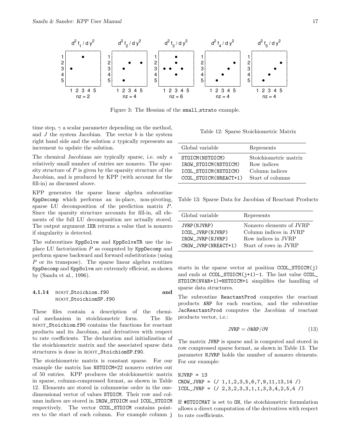

Figure 3: The Hessian of the small strato example.

time step,  $\gamma$  a scalar parameter depending on the method, and  $J$  the system Jacobian. The vector  $b$  is the system right hand side and the solution  $x$  typically represents an increment to update the solution.

The chemical Jacobians are typically sparse, i.e. only a relatively small number of entries are nonzero. The sparsity structure of  $P$  is given by the sparsity structure of the Jacobian, and is produced by KPP (with account for the fill-in) as discussed above.

KPP generates the sparse linear algebra subroutine KppDecomp which performs an in-place, non-pivoting, sparse LU decomposition of the prediction matrix P. Since the sparsity structure accounts for fill-in, all elements of the full LU decomposition are actually stored. The output argument IER returns a value that is nonzero if singularity is detected.

The subroutines KppSolve and KppSolveTR use the inplace LU factorization  $P$  as computed by KppDecomp and perform sparse backward and forward substitutions (using P or its transpose). The sparse linear algebra routines KppDecomp and KppSolve are extremely efficient, as shown by (Sandu et al., 1996).

#### 4.1.14 root Stoichiom.f90 and ROOT\_StoichiomSP.f90

These files contain a description of the chemical mechanism in stoichiometric form. The file ROOT\_Stoichiom.f90 contains the functions for reactant products and its Jacobian, and derivatives with respect to rate coefficients. The declaration and initialization of the stoichiometric matrix and the associated sparse data structures is done in ROOT\_StoichiomSP.f90.

The stoichiometric matrix is constant sparse. For our example the matrix has NSTOICM=22 nonzero entries out of 50 entries. KPP produces the stoichiometric matrix in sparse, column-compressed format, as shown in Table 12. Elements are stored in columnwise order in the onedimensional vector of values STOICM. Their row and column indices are stored in IROW\_STOICM and ICOL\_STOICM respectively. The vector CCOL\_STOICM contains pointers to the start of each column. For example column j

Table 12: Sparse Stoichiometric Matrix

| Global variable                                                                              | Represents                                                                 |
|----------------------------------------------------------------------------------------------|----------------------------------------------------------------------------|
| STOICM (NSTOICM)<br>IROW STOICM (NSTOICM)<br>ICOL STOICM (NSTOICM)<br>CCOL STOICM (NREACT+1) | Stoichiometric matrix<br>Row indices<br>Column indices<br>Start of columns |

Table 13: Sparse Data for Jacobian of Reactant Products

| Global variable      | Represents               |
|----------------------|--------------------------|
| JVRP (NJVRP)         | Nonzero elements of JVRP |
| ICOL JVRP (NJVRP)    | Column indices in JVRP   |
| IROW_JVRP(NJVRP)     | Row indices in JVRP      |
| CROW JVRP (NREACT+1) | Start of rows in JVRP    |

starts in the sparse vector at position CCOL\_STOICM(j) and ends at  $CCOL\_STOICM(j+1)-1$ . The last value  $CCOL$ STOICM(NVAR+1)=NSTOICM+1 simplifies the handling of sparse data structures.

The subroutine ReactantProd computes the reactant products ARP for each reaction, and the subroutine JacReactantProd computes the Jacobian of reactant products vector, i.e.:

$$
JVRP = \partial ARP / \partial V \tag{13}
$$

The matrix JVRP is sparse and is computed and stored in row compressed sparse format, as shown in Table 13. The parameter NJVRP holds the number of nonzero elements. For our example:

 $NJVRP = 13$  $CROW_JVRP = (/ 1, 1, 2, 3, 5, 6, 7, 9, 11, 13, 14 /)$  $ICOL_JVRP = (/ 2,3,2,3,3,1,1,3,3,4,2,5,4 /)$ 

If #STOICMAT is set to ON, the stoichiometric formulation allows a direct computation of the derivatives with respect to rate coefficients.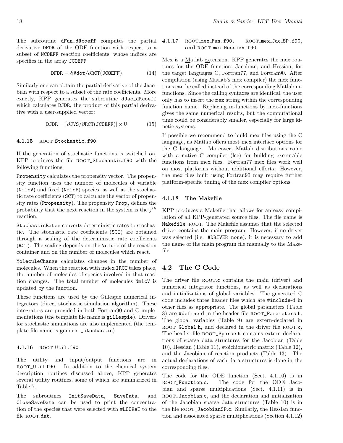The subroutine dFun\_dRcoeff computes the partial 4.1.17 derivative DFDR of the ODE function with respect to a subset of NCOEFF reaction coefficients, whose indices are specifies in the array JCOEFF

$$
\text{DFDR} = \partial \text{Vdot}/\partial \text{RCT}(\text{JCDEF}) \tag{14}
$$

Similarly one can obtain the partial derivative of the Jacobian with respect to a subset of the rate coefficients. More exactly, KPP generates the subroutine dJac\_dRcoeff which calculates DJDR, the product of this partial derivative with a user-supplied vector:

$$
DJDR = [\partial JVS/\partial RCT(JCOEFF)] \times U \tag{15}
$$

#### 4.1.15 ROOT\_Stochastic.f90

If the generation of stochastic functions is switched on, KPP produces the file ROOT\_Stochastic.f90 with the following functions:

Propensity calculates the propensity vector. The propensity function uses the number of molecules of variable (NmlcV) and fixed (NmlcF) species, as well as the stochastic rate coefficients (SCT) to calculate the vector of propensity rates (Propensity). The propensity  $\text{Prop}_i$  defines the probability that the next reaction in the system is the  $j<sup>th</sup>$ reaction.

StochasticRates converts deterministic rates to stochastic. The stochastic rate coefficients (SCT) are obtained through a scaling of the deterministic rate coefficients (RCT). The scaling depends on the Volume of the reaction container and on the number of molecules which react.

MoleculeChange calculates changes in the number of molecules. When the reaction with index IRCT takes place, the number of molecules of species involved in that reaction changes. The total number of molecules NmlcV is updated by the function.

These functions are used by the Gillespie numerical integrators (direct stochastic simulation algorithm). These integrators are provided in both Fortran90 and C implementations (the template file name is gillespie). Drivers for stochastic simulations are also implemented (the template file name is general\_stochastic).

#### 4.1.16 ROOT\_Util.f90

The utility and input/output functions are in root\_Util.f90. In addition to the chemical system description routines discussed above, KPP generates several utility routines, some of which are summarized in Table 7.

The subroutines InitSaveData, SaveData, and CloseSaveData can be used to print the concentration of the species that were selected with #LOOKAT to the file ROOT.dat.

#### ROOT mex Fun.f90, ROOT mex Jac SP.f90, and ROOT\_mex\_Hessian.f90

Mex is a Matlab extension. KPP generates the mex routines for the ODE function, Jacobian, and Hessian, for the target languages C, Fortran77, and Fortran90. After compilation (using Matlab's mex compiler) the mex functions can be called instead of the corresponding Matlab mfunctions. Since the calling syntaxes are identical, the user only has to insert the mex string within the corresponding function name. Replacing m-functions by mex-functions gives the same numerical results, but the computational time could be considerably smaller, especially for large kinetic systems.

If possible we recommend to build mex files using the C language, as Matlab offers most mex interface options for the C language. Moreover, Matlab distributions come with a native C compiler (lcc) for building executable functions from mex files. Fortran77 mex files work well on most platforms without additional efforts. However, the mex files built using Fortran90 may require further platform-specific tuning of the mex compiler options.

#### 4.1.18 The Makefile

KPP produces a Makefile that allows for an easy compilation of all KPP-generated source files. The file name is Makefile\_root. The Makefile assumes that the selected driver contains the main program. However, if no driver was selected (i.e. #DRIVER none), it is necessary to add the name of the main program file manually to the Makefile.

## 4.2 The C Code

The driver file ROOT.c contains the main (driver) and numerical integrator functions, as well as declarations and initializations of global variables. The generated C code includes three header files which are #include-d in other files as appropriate. The global parameters (Table 8) are #define-d in the header file ROOT\_Parameters.h. The global variables (Table 9) are extern-declared in ROOT\_Global.h, and declared in the driver file ROOT.c. The header file ROOT\_Sparse.h contains extern declarations of sparse data structures for the Jacobian (Table 10), Hessian (Table 11), stoichiometric matrix (Table 12), and the Jacobian of reaction products (Table 13). The actual declarations of each data structures is done in the corresponding files.

The code for the ODE function (Sect. 4.1.10) is in ROOT\_Function.c. The code for the ODE Jacobian and sparse multiplications (Sect. 4.1.11) is in ROOT\_Jacobian.c, and the declaration and initialization of the Jacobian sparse data structures (Table 10) is in the file ROOT\_JacobianSP.c. Similarly, the Hessian function and associated sparse multiplications (Section 4.1.12)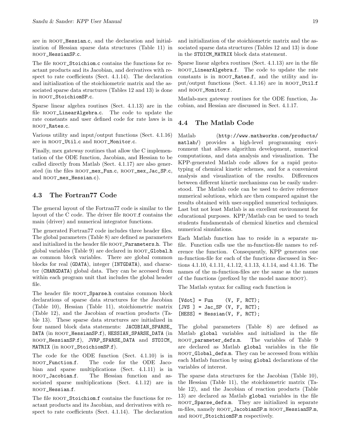are in root\_Hessian.c, and the declaration and initialization of Hessian sparse data structures (Table 11) in root\_HessianSP.c.

The file ROOT\_Stoichiom.c contains the functions for reactant products and its Jacobian, and derivatives with respect to rate coefficients (Sect. 4.1.14). The declaration and initialization of the stoichiometric matrix and the associated sparse data structures (Tables 12 and 13) is done in ROOT\_StoichiomSP.c.

Sparse linear algebra routines (Sect. 4.1.13) are in the file ROOT\_LinearAlgebra.c. The code to update the rate constants and user defined code for rate laws is in ROOT\_Rates.c.

Various utility and input/output functions (Sect. 4.1.16) are in ROOT\_Util.c and ROOT\_Monitor.c.

Finally, mex gateway routines that allow the C implementation of the ODE function, Jacobian, and Hessian to be called directly from Matlab (Sect. 4.1.17) are also generated (in the files ROOT\_mex\_Fun.c, ROOT\_mex\_Jac\_SP.c, and ROOT\_mex\_Hessian.c).

#### 4.3 The Fortran77 Code

The general layout of the Fortran77 code is similar to the layout of the C code. The driver file  $\textsc{root} \mathbf{.f}$  contains the main (driver) and numerical integrator functions.

The generated Fortran77 code includes three header files. The global parameters (Table 8) are defined as parameters and initialized in the header file ROOT\_Parameters.h. The global variables (Table 9) are declared in ROOT\_Global.h as common block variables. There are global common blocks for real (GDATA), integer (INTGDATA), and character (CHARGDATA) global data. They can be accessed from within each program unit that includes the global header file.

The header file ROOT\_Sparse.h contains common block declarations of sparse data structures for the Jacobian (Table 10), Hessian (Table 11), stoichiometric matrix (Table 12), and the Jacobian of reaction products (Table 13). These sparse data structures are initialized in four named block data statements: JACOBIAN\_SPARSE\_ DATA (in root\_HessianSP.f), HESSIAN\_SPARSE\_DATA (in root\_HessianSP.f), JVRP\_SPARSE\_DATA and STOICM\_ MATRIX (in ROOT\_StoichiomSP.f).

The code for the ODE function (Sect. 4.1.10) is in ROOT\_Function.f. The code for the ODE Jacobian and sparse multiplications (Sect. 4.1.11) is in ROOT\_Jacobian.f. The Hessian function and associated sparse multiplications (Sect. 4.1.12) are in root\_Hessian.f.

The file ROOT\_Stoichiom.f contains the functions for reactant products and its Jacobian, and derivatives with respect to rate coefficients (Sect. 4.1.14). The declaration

and initialization of the stoichiometric matrix and the associated sparse data structures (Tables 12 and 13) is done in the STOICM\_MATRIX block data statement.

Sparse linear algebra routines (Sect. 4.1.13) are in the file ROOT\_LinearAlgebra.f. The code to update the rate constants is in ROOT\_Rates.f, and the utility and input/output functions (Sect. 4.1.16) are in  $\text{roor\_Util.f}$ and ROOT\_Monitor.f.

Matlab-mex gateway routines for the ODE function, Jacobian, and Hessian are discussed in Sect. 4.1.17.

## 4.4 The Matlab Code

Matlab (http://www.mathworks.com/products/ matlab/) provides a high-level programming environment that allows algorithm development, numerical computations, and data analysis and visualization. The KPP-generated Matlab code allows for a rapid prototyping of chemical kinetic schemes, and for a convenient analysis and visualization of the results. Differences between different kinetic mechanisms can be easily understood. The Matlab code can be used to derive reference numerical solutions, which are then compared against the results obtained with user-supplied numerical techniques. Last but not least Matlab is an excellent environment for educational purposes. KPP/Matlab can be used to teach students fundamentals of chemical kinetics and chemical numerical simulations.

Each Matlab function has to reside in a separate mfile. Function calls use the m-function-file names to reference the function. Consequently, KPP generates one m-function-file for each of the functions discussed in Sections 4.1.10, 4.1.11, 4.1.12, 4.1.13, 4.1.14, and 4.1.16. The names of the m-function-files are the same as the names of the functions (prefixed by the model name root).

The Matlab syntax for calling each function is

```
[Vdot] = Fun (V, F, RCT);[JVS] = Jac\_SP (V, F, RCT);[HESS] = Hessian(V, F, RCT);
```
The global parameters (Table 8) are defined as Matlab global variables and initialized in the file ROOT\_parameter\_defs.m. The variables of Table 9 are declared as Matlab global variables in the file ROOT\_Global\_defs.m. They can be accessed from within each Matlab function by using global declarations of the variables of interest.

The sparse data structures for the Jacobian (Table 10), the Hessian (Table 11), the stoichiometric matrix (Table 12), and the Jacobian of reaction products (Table 13) are declared as Matlab global variables in the file ROOT\_Sparse\_defs.m. They are initialized in separate m-files, namely root\_JacobianSP.m root\_HessianSP.m, and ROOT\_StoichiomSP.m respectively.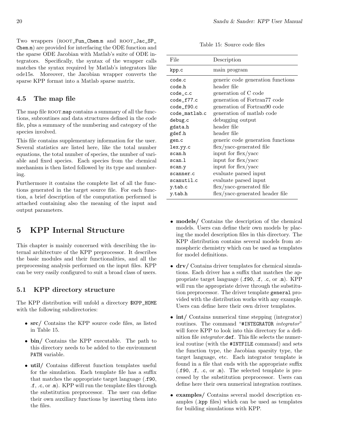Two wrappers (ROOT\_Fun\_Chem.m and ROOT\_Jac\_SP\_ Chem.m) are provided for interfacing the ODE function and the sparse ODE Jacobian with Matlab's suite of ODE integrators. Specifically, the syntax of the wrapper calls matches the syntax required by Matlab's integrators like ode15s. Moreover, the Jacobian wrapper converts the sparse KPP format into a Matlab sparse matrix.

# 4.5 The map file

The map file ROOT.map contains a summary of all the functions, subroutines and data structures defined in the code file, plus a summary of the numbering and category of the species involved.

This file contains supplementary information for the user. Several statistics are listed here, like the total number equations, the total number of species, the number of variable and fixed species. Each species from the chemical mechanism is then listed followed by its type and numbering.

Furthermore it contains the complete list of all the functions generated in the target source file. For each function, a brief description of the computation performed is attached containing also the meaning of the input and output parameters.

# 5 KPP Internal Structure

This chapter is mainly concerned with describing the internal architecture of the KPP preprocessor. It describes the basic modules and their functionalities, and all the preprocessing analysis performed on the input files. KPP can be very easily configured to suit a broad class of users.

# 5.1 KPP directory structure

The KPP distribution will unfold a directory \$KPP\_HOME with the following subdirectories:

- src/ Contains the KPP source code files, as listed in Table 15.
- bin/ Contains the KPP executable. The path to this directory needs to be added to the environment PATH variable.
- util/ Contains different function templates useful for the simulation. Each template file has a suffix that matches the appropriate target language (.f90, .f, .c, or .m). KPP will run the template files through the substitution preprocessor. The user can define their own auxiliary functions by inserting them into the files.

Table 15: Source code files

| File          | Description                       |
|---------------|-----------------------------------|
| kpp.c         | main program                      |
| code.c        | generic code generation functions |
| code.h        | header file                       |
| $code_c.c$    | generation of C code              |
| code_f77.c    | generation of Fortran77 code      |
| code_f90.c    | generation of Fortran90 code      |
| code_matlab.c | generation of matlab code         |
| debug.c       | debugging output                  |
| gdata.h       | header file                       |
| gdef.h        | header file                       |
| gen.c         | generic code generation functions |
| lex.yy.c      | flex/yacc-generated file          |
| scan.h        | input for flex/yacc               |
| scan.l        | input for flex/yacc               |
| scan.y        | input for flex/yacc               |
| scanner.c     | evaluate parsed input             |
| scanutil.c    | evaluate parsed input             |
| y.tab.c       | flex/yacc-generated file          |
| y.tab.h       | flex/yacc-generated header file   |

- models/ Contains the description of the chemical models. Users can define their own models by placing the model description files in this directory. The KPP distribution contains several models from atmospheric chemistry which can be used as templates for model definitions.
- drv/ Contains driver templates for chemical simulations. Each driver has a suffix that matches the appropriate target language (.f90, .f, .c, or .m). KPP will run the appropriate driver through the substitution preprocessor. The driver template general provided with the distribution works with any example. Users can define here their own driver templates.
- int/ Contains numerical time stepping (integrator) routines. The command "#INTEGRATOR *integrator*" will force KPP to look into this directory for a definition file integrator.def. This file selects the numerical routine (with the #INTFILE command) and sets the function type, the Jacobian sparsity type, the target language, etc. Each integrator template is found in a file that ends with the appropriate suffix (.f90, .f, .c, or .m). The selected template is processed by the substitution preprocessor. Users can define here their own numerical integration routines.
- examples/ Contains several model description examples (.kpp files) which can be used as templates for building simulations with KPP.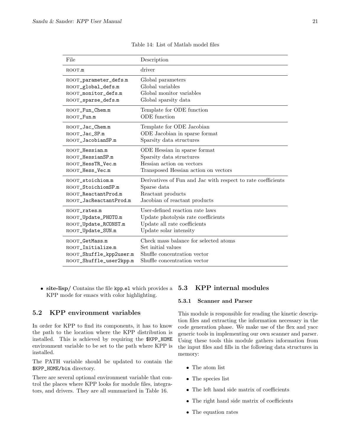| File                    | Description                                                  |
|-------------------------|--------------------------------------------------------------|
| ROOT.m                  | driver                                                       |
| ROOT_parameter_defs.m   | Global parameters                                            |
| ROOT_global_defs.m      | Global variables                                             |
| ROOT_monitor_defs.m     | Global monitor variables                                     |
| ROOT_sparse_defs.m      | Global sparsity data                                         |
| ROOT_Fun_Chem.m         | Template for ODE function                                    |
| ROOT_Fun.m              | <b>ODE</b> function                                          |
| ROOT_Jac_Chem.m         | Template for ODE Jacobian                                    |
| ROOT_Jac_SP.m           | ODE Jacobian in sparse format                                |
| ROOT_JacobianSP.m       | Sparsity data structures                                     |
| ROOT_Hessian.m          | ODE Hessian in sparse format                                 |
| ROOT_HessianSP.m        | Sparsity data structures                                     |
| ROOT_HessTR_Vec.m       | Hessian action on vectors                                    |
| ROOT_Hess_Vec.m         | Transposed Hessian action on vectors                         |
| ROOT_stoichiom.m        | Derivatives of Fun and Jac with respect to rate coefficients |
| ROOT_StoichiomSP.m      | Sparse data                                                  |
| ROOT ReactantProd.m     | Reactant products                                            |
| ROOT_JacReactantProd.m  | Jacobian of reactant products                                |
| ROOT_rates.m            | User-defined reaction rate laws                              |
| ROOT_Update_PHOTO.m     | Update photolysis rate coefficients                          |
| ROOT_Update_RCONST.m    | Update all rate coefficients                                 |
| ROOT_Update_SUN.m       | Update solar intensity                                       |
| ROOT_GetMass.m          | Check mass balance for selected atoms                        |
| ROOT_Initialize.m       | Set initial values                                           |
| ROOT_Shuffle_kpp2user.m | Shuffle concentration vector                                 |
| ROOT_Shuffle_user2kpp.m | Shuffle concentration vector                                 |

Table 14: List of Matlab model files

 site-lisp/ Contains the file kpp.el which provides a KPP mode for emacs with color highlighting.

#### 5.2 KPP environment variables

In order for KPP to find its components, it has to know the path to the location where the KPP distribution is installed. This is achieved by requiring the \$KPP\_HOME environment variable to be set to the path where KPP is installed.

The PATH variable should be updated to contain the \$KPP\_HOME/bin directory.

There are several optional environment variable that control the places where KPP looks for module files, integrators, and drivers. They are all summarized in Table 16.

#### 5.3 KPP internal modules

#### 5.3.1 Scanner and Parser

This module is responsible for reading the kinetic description files and extracting the information necessary in the code generation phase. We make use of the flex and yacc generic tools in implementing our own scanner and parser. Using these tools this module gathers information from the input files and fills in the following data structures in memory:

- The atom list
- The species list
- The left hand side matrix of coefficients
- The right hand side matrix of coefficients
- The equation rates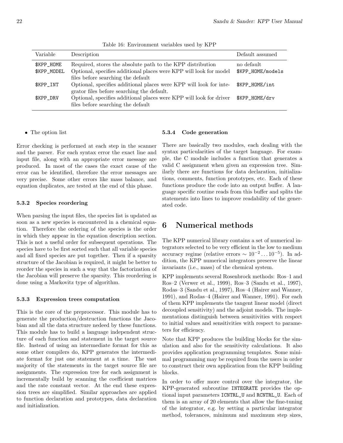| Description                                                         | Default assumed   |
|---------------------------------------------------------------------|-------------------|
| Required, stores the absolute path to the KPP distribution          | no default        |
| Optional, specifies additional places were KPP will look for model  | \$KPP_HOME/models |
| files before searching the default                                  |                   |
| Optional, specifies additional places were KPP will look for inte-  | \$KPP_HOME/int    |
| grator files before searching the default.                          |                   |
| Optional, specifies additional places were KPP will look for driver | \$KPP_HOME/drv    |
| files before searching the default                                  |                   |
|                                                                     |                   |

Table 16: Environment variables used by KPP

#### The option list

Error checking is performed at each step in the scanner and the parser. For each syntax error the exact line and input file, along with an appropriate error message are produced. In most of the cases the exact cause of the error can be identified, therefore the error messages are very precise. Some other errors like mass balance, and equation duplicates, are tested at the end of this phase.

#### 5.3.2 Species reordering

When parsing the input files, the species list is updated as soon as a new species is encountered in a chemical equation. Therefore the ordering of the species is the order in which they appear in the equation description section. This is not a useful order for subsequent operations. The species have to be first sorted such that all variable species and all fixed species are put together. Then if a sparsity structure of the Jacobian is required, it might be better to reorder the species in such a way that the factorization of the Jacobian will preserve the sparsity. This reordering is done using a Markovitz type of algorithm.

#### 5.3.3 Expression trees computation

This is the core of the preprocessor. This module has to generate the production/destruction functions the Jacobian and all the data structure nedeed by these functions. This module has to build a language independent structure of each function and statement in the target source file. Instead of using an intermediate format for this as some other compilers do, KPP generates the intermediate format for just one statement at a time. The vast majority of the statements in the target source file are assignments. The expression tree for each assignment is incrementally build by scanning the coefficient matrices and the rate constant vector. At the end these expression trees are simplified. Similar approaches are applied to function declaration and prototypes, data declaration and initialization.

# 5.3.4 Code generation

There are basically two modules, each dealing with the syntax particularities of the target language. For example, the C module includes a function that generates a valid C assignment when given an expression tree. Similarly there are functions for data declaration, initializations, comments, function prototypes, etc. Each of these functions produce the code into an output buffer. A language specific routine reads from this buffer and splits the statements into lines to improve readability of the generated code.

# 6 Numerical methods

The KPP numerical library contains a set of numerical integrators selected to be very efficient in the low to medium accuracy regime (relative errors  $\sim 10^{-2} \dots 10^{-5}$ ). In addition, the KPP numerical integrators preserve the linear invariants (i.e., mass) of the chemical system.

KPP implements several Rosenbrock methods: Ros–1 and Ros–2 (Verwer et al., 1999), Ros–3 (Sandu et al., 1997), Rodas–3 (Sandu et al., 1997), Ros–4 (Hairer and Wanner, 1991), and Rodas–4 (Hairer and Wanner, 1991). For each of them KPP implements the tangent linear model (direct decoupled sensitivity) and the adjoint models. The implementations distinguish between sensitivities with respect to initial values and sensitivities with respect to parameters for efficiency.

Note that KPP produces the building blocks for the simulation and also for the sensitivity calculations. It also provides application programming templates. Some minimal programming may be required from the users in order to construct their own application from the KPP building blocks.

In order to offer more control over the integrator, the KPP-generated subroutine INTEGRATE provides the optional input parameters ICNTRL\_U and RCNTRL\_U. Each of them is an array of 20 elements that allow the fine-tuning of the integrator, e.g. by setting a particular integrator method, tolerances, minimum and maximum step sizes,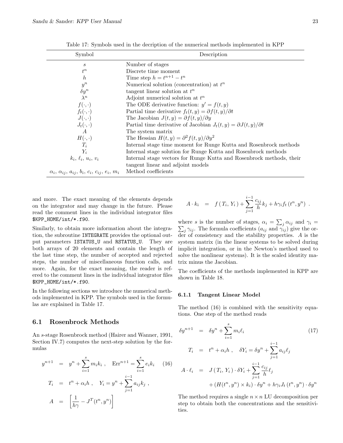| Symbol                                                                           | Description                                                                                               |
|----------------------------------------------------------------------------------|-----------------------------------------------------------------------------------------------------------|
| S                                                                                | Number of stages                                                                                          |
| $t^n$                                                                            | Discrete time moment                                                                                      |
| h                                                                                | Time step $h = t^{n+1} - t^n$                                                                             |
| $y^n$                                                                            | Numerical solution (concentration) at $t^n$                                                               |
| $\delta y^n$                                                                     | tangent linear solution at $t^n$                                                                          |
| $\lambda^n$                                                                      | Adjoint numerical solution at $t^n$                                                                       |
| $f(\cdot,\cdot)$                                                                 | The ODE derivative function: $y' = f(t, y)$                                                               |
| $f_t(\cdot,\cdot)$                                                               | Partial time derivative $f_t(t, y) = \partial f(t, y)/\partial t$                                         |
| $J(\cdot,\cdot)$                                                                 | The Jacobian $J(t, y) = \partial f(t, y) / \partial y$                                                    |
| $J_t(\cdot,\cdot)$                                                               | Partial time derivative of Jacobian $J_t(t, y) = \partial J(t, y)/\partial t$                             |
| $\overline{A}$                                                                   | The system matrix                                                                                         |
| $H(\cdot,\cdot)$                                                                 | The Hessian $H(t, y) = \partial^2 f(t, y) / \partial y^2$                                                 |
| $T_i$                                                                            | Internal stage time moment for Runge Kutta and Rosenbrock methods                                         |
| $Y_i$                                                                            | Internal stage solution for Runge Kutta and Rosenbrock methods                                            |
| $k_i$ , $\ell_i$ , $u_i$ , $v_i$                                                 | Internal stage vectors for Runge Kutta and Rosenbrock methods, their<br>tangent linear and adjoint models |
| $\alpha_i$ , $\alpha_{ij}$ , $a_{ij}$ , $b_i$ , $c_i$ , $c_{ij}$ , $e_i$ , $m_i$ | Method coefficients                                                                                       |

Table 17: Symbols used in the decription of the numerical methods implemented in KPP

and more. The exact meaning of the elements depends on the integrator and may change in the future. Please read the comment lines in the individual integrator files \$KPP\_HOME/int/\*.f90.

Similarly, to obtain more information about the integration, the subroutine INTEGRATE provides the optional output parameters ISTATUS\_U and RSTATUS\_U. They are both arrays of 20 elements and contain the length of the last time step, the number of accepted and rejected steps, the number of miscellaneous function calls, and more. Again, for the exact meaning, the reader is refered to the comment lines in the individual integrator files \$KPP\_HOME/int/\*.f90.

In the following sections we introduce the numerical methods implemented in KPP. The symbols used in the formulas are explained in Table 17.

#### 6.1 Rosenbrock Methods

An s-stage Rosenbrock method (Hairer and Wanner, 1991, Section IV.7) computes the next-step solution by the formulas

$$
y^{n+1} = y^n + \sum_{i=1}^{s} m_i k_i, \quad \text{Err}^{n+1} = \sum_{i=1}^{s} e_i k_i \quad (16)
$$

$$
T_i = t^n + \alpha_i h, \quad Y_i = y^n + \sum_{j=1}^{i-1} a_{ij} k_j,
$$

$$
A = \left[ \frac{1}{h\gamma} - J^T(t^n, y^n) \right]
$$

$$
A \cdot k_i = f(T_i, Y_i) + \sum_{j=1}^{i-1} \frac{c_{ij}}{h} k_j + h \gamma_i f_t(t^n, y^n) .
$$

where s is the number of stages,  $\alpha_i = \sum_j \alpha_{ij}$  and  $\gamma_i =$  $\sum_j \gamma_{ij}$ . The formula coefficients  $(a_{ij} \text{ and } \gamma_{ij})$  give the order of consistency and the stability properties. A is the system matrix (in the linear systems to be solved during implicit integration, or in the Newton's method used to solve the nonlinear systems). It is the scaled identity matrix minus the Jacobian.

The coefficients of the methods implemented in KPP are shown in Table 18.

#### 6.1.1 Tangent Linear Model

The method (16) is combined with the sensitivity equations. One step of the method reads

$$
\delta y^{n+1} = \delta y^n + \sum_{i=1}^s m_i \ell_i \qquad (17)
$$
  
\n
$$
T_i = t^n + \alpha_i h, \quad \delta Y_i = \delta y^n + \sum_{j=1}^{i-1} a_{ij} \ell_j
$$
  
\n
$$
A \cdot \ell_i = J(T_i, Y_i) \cdot \delta Y_i + \sum_{j=1}^{i-1} \frac{c_{ij}}{h} \ell_j
$$
  
\n
$$
+ (H(t^n, y^n) \times k_i) \cdot \delta y^n + h \gamma_i J_t(t^n, y^n) \cdot \delta y^n
$$

The method requires a single  $n \times n$  LU decomposition per step to obtain both the concentrations and the sensitivities.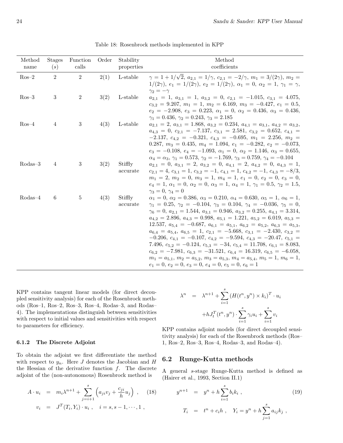| Method<br>name | <b>Stages</b><br>(s) | Function<br>calls | Order | Stability<br>properties | Method<br>coefficients                                                                                                                                                                                                                                                                                                                                                                                                                                                                                                                                                                                                                                                                                                                                                                                                                                                                                                                                                   |
|----------------|----------------------|-------------------|-------|-------------------------|--------------------------------------------------------------------------------------------------------------------------------------------------------------------------------------------------------------------------------------------------------------------------------------------------------------------------------------------------------------------------------------------------------------------------------------------------------------------------------------------------------------------------------------------------------------------------------------------------------------------------------------------------------------------------------------------------------------------------------------------------------------------------------------------------------------------------------------------------------------------------------------------------------------------------------------------------------------------------|
| $Ros-2$        | $\overline{2}$       | $\overline{2}$    | 2(1)  | L-stable                | $\gamma = 1 + 1/\sqrt{2}$ , $a_{2,1} = 1/\gamma$ , $c_{2,1} = -2/\gamma$ , $m_1 = 3/(2\gamma)$ , $m_2 =$<br>$1/(2\gamma)$ , $e_1 = 1/(2\gamma)$ , $e_2 = 1/(2\gamma)$ , $\alpha_1 = 0$ , $\alpha_2 = 1$ , $\gamma_1 = \gamma$ ,<br>$\gamma_2 = -\gamma$                                                                                                                                                                                                                                                                                                                                                                                                                                                                                                                                                                                                                                                                                                                  |
| $Ros-3$        | 3                    | $\overline{2}$    | 3(2)  | L-stable                | $a_{2,1} = 1, a_{3,1} = 1, a_{3,2} = 0, c_{2,1} = -1.015, c_{3,1} = 4.075,$<br>$c_{3,2} = 9.207, m_1 = 1, m_2 = 6.169, m_3 = -0.427, e_1 = 0.5,$<br>$e_2 = -2.908, e_3 = 0.223, \alpha_1 = 0, \alpha_2 = 0.436, \alpha_3 = 0.436,$<br>$\gamma_1 = 0.436, \gamma_2 = 0.243, \gamma_3 = 2.185$                                                                                                                                                                                                                                                                                                                                                                                                                                                                                                                                                                                                                                                                             |
| $Ros-4$        | 4                    | 3                 | 4(3)  | L-stable                | $a_{2,1} = 2, a_{3,1} = 1.868, a_{3,2} = 0.234, a_{4,1} = a_{3,1}, a_{4,2} = a_{3,2},$<br>$a_{4,3} = 0, c_{2,1} = -7.137, c_{3,1} = 2.581, c_{3,2} = 0.652, c_{4,1} =$<br>$-2.137, c_{4,2} = -0.321, c_{4,3} = -0.695, m_1 = 2.256, m_2 =$<br>0.287, $m_3 = 0.435$ , $m_4 = 1.094$ , $e_1 = -0.282$ , $e_2 = -0.073$ ,<br>$e_3 = -0.108, e_4 = -1.093, \alpha_1 = 0, \alpha_2 = 1.146, \alpha_3 = 0.655,$<br>$\alpha_4 = \alpha_3, \gamma_1 = 0.573, \gamma_2 = -1.769, \gamma_3 = 0.759, \gamma_4 = -0.104$                                                                                                                                                                                                                                                                                                                                                                                                                                                             |
| $Rodas-3$      | 4                    | 3                 | 3(2)  | Stiffly<br>accurate     | $a_{2,1} = 0, a_{3,1} = 2, a_{3,2} = 0, a_{4,1} = 2, a_{4,2} = 0, a_{4,3} = 1,$<br>$c_{2,1} = 4, c_{3,1} = 1, c_{3,2} = -1, c_{4,1} = 1, c_{4,2} = -1, c_{4,3} = -8/3,$<br>$m_1 = 2, m_2 = 0, m_3 = 1, m_4 = 1, e_1 = 0, e_2 = 0, e_3 = 0,$<br>$e_4 = 1, \ \alpha_1 = 0, \ \alpha_2 = 0, \ \alpha_3 = 1, \ \alpha_4 = 1, \ \gamma_1 = 0.5, \ \gamma_2 = 1.5,$<br>$\gamma_3 = 0, \, \gamma_4 = 0$                                                                                                                                                                                                                                                                                                                                                                                                                                                                                                                                                                         |
| $Rodas-4$      | 6                    | 5                 | 4(3)  | Stiffly<br>accurate     | $\alpha_1 = 0, \ \alpha_2 = 0.386, \ \alpha_3 = 0.210, \ \alpha_4 = 0.630, \ \alpha_5 = 1, \ \alpha_6 = 1,$<br>$\gamma_1 = 0.25, \gamma_2 = -0.104, \gamma_3 = 0.104, \gamma_4 = -0.036, \gamma_5 = 0,$<br>$\gamma_6 = 0, a_{2,1} = 1.544, a_{3,1} = 0.946, a_{3,2} = 0.255, a_{4,1} = 3.314,$<br>$a_{4,2} = 2.896, a_{4,3} = 0.998, a_{5,1} = 1.221, a_{5,2} = 6.019, a_{5,3} =$<br>12.537, $a_{5,4} = -0.687$ , $a_{6,1} = a_{5,1}$ , $a_{6,2} = a_{5,2}$ , $a_{6,3} = a_{5,3}$ ,<br>$a_{6,4} = a_{5,4}, a_{6,5} = 1, c_{2,1} = -5.668, c_{3,1} = -2.430, c_{3,2} =$<br>$-0.206, c_{4,1} = -0.107, c_{4,2} = -9.594, c_{4,3} = -20.47, c_{5,1} =$<br>7.496, $c_{5,2} = -0.124$ , $c_{5,3} = -34$ , $c_{5,4} = 11.708$ , $c_{6,1} = 8.083$ ,<br>$c_{6.2} = -7.981, c_{6.3} = -31.521, c_{6.4} = 16.319, c_{6.5} = -6.058,$<br>$m_1 = a_{5,1}, m_2 = a_{5,2}, m_3 = a_{5,3}, m_4 = a_{5,4}, m_5 = 1, m_6 = 1,$<br>$e_1 = 0, e_2 = 0, e_3 = 0, e_4 = 0, e_5 = 0, e_6 = 1$ |

Table 18: Rosenbrock methods implemented in KPP

KPP contains tangent linear models (for direct decoupled sensitivity analysis) for each of the Rosenbrock methods (Ros–1, Ros–2, Ros–3, Ros–4, Rodas–3, and Rodas– 4). The implementations distinguish between sensitivities with respect to initial values and sensitivities with respect to parameters for efficiency.

#### 6.1.2 The Discrete Adjoint

To obtain the adjoint we first differentiate the method with respect to  $y_n$ . Here J denotes the Jacobian and H the Hessian of the derivative function  $f$ . The discrete adjoint of the (non-autonomous) Rosenbrock method is

$$
A \cdot u_i = m_i \lambda^{n+1} + \sum_{j=i+1}^s \left( a_{ji} v_j + \frac{c_{ji}}{h} u_j \right) , \quad (18)
$$
  

$$
v_i = J^T(T_i, Y_i) \cdot u_i , \quad i = s, s - 1, \dots, 1 ,
$$

$$
\lambda^{n} = \lambda^{n+1} + \sum_{i=1}^{s} (H(t^{n}, y^{n}) \times k_{i})^{T} \cdot u_{i}
$$

$$
+ hJ_{t}^{T}(t^{n}, y^{n}) \cdot \sum_{i=1}^{s} \gamma_{i} u_{i} + \sum_{i=1}^{s} v_{i}
$$

KPP contains adjoint models (for direct decoupled sensitivity analysis) for each of the Rosenbrock methods (Ros– 1, Ros–2, Ros–3, Ros–4, Rodas–3, and Rodas–4).

#### 6.2 Runge-Kutta methods

A general s-stage Runge-Kutta method is defined as (Hairer et al., 1993, Section II.1)

$$
y^{n+1} = y^n + h \sum_{i=1}^{s} b_i k_i ,
$$
\n
$$
T_i = t^n + c_i h , \quad Y_i = y^n + h \sum_{j=1}^{s} a_{ij} k_j ,
$$
\n
$$
(19)
$$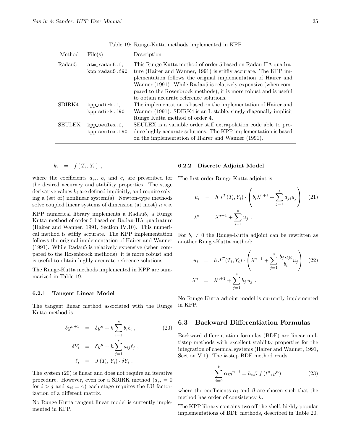| Method        | File(s)                         | Description                                                                                                                      |
|---------------|---------------------------------|----------------------------------------------------------------------------------------------------------------------------------|
| Radau5        | atm_radau5.f.<br>kpp_radau5.f90 | This Runge Kutta method of order 5 based on Radau-IIA quadra-<br>ture (Hairer and Wanner, 1991) is stiffly accurate. The KPP im- |
|               |                                 | plementation follows the original implementation of Hairer and                                                                   |
|               |                                 | Wanner (1991). While Radau5 is relatively expensive (when com-                                                                   |
|               |                                 | pared to the Rosenbrock methods), it is more robust and is useful                                                                |
|               |                                 | to obtain accurate reference solutions.                                                                                          |
| SDIRK4        | kpp_sdirk.f.                    | The implementation is based on the implementation of Hairer and                                                                  |
|               | kpp_sdirk.f90                   | Wanner (1991). SDIRK4 is an L-stable, singly-diagonally-implicit                                                                 |
|               |                                 | Runge Kutta method of order 4.                                                                                                   |
| <b>SEULEX</b> | kpp_seulex.f.                   | SEULEX is a variable order stiff extrapolation code able to pro-                                                                 |
|               | kpp_seulex.f90                  | duce highly accurate solutions. The KPP implementation is based                                                                  |
|               |                                 | on the implementation of Hairer and Wanner (1991).                                                                               |

Table 19: Runge-Kutta methods implemented in KPP

$$
k_i = f(T_i, Y_i) ,
$$

where the coefficients  $a_{ij}$ ,  $b_i$  and  $c_i$  are prescribed for the desired accuracy and stability properties. The stage derivative values  $k_i$  are defined implicitly, and require solving a (set of) nonlinear system(s). Newton-type methods solve coupled linear systems of dimension (at most)  $n \times s$ .

KPP numerical library implements a Radau5, a Runge Kutta method of order 5 based on Radau-IIA quadrature (Hairer and Wanner, 1991, Section IV.10). This numerical method is stiffly accurate. The KPP implementation follows the original implementation of Hairer and Wanner (1991). While Radau5 is relatively expensive (when compared to the Rosenbrock methods), it is more robust and is useful to obtain highly accurate reference solutions.

The Runge-Kutta methods implemented in KPP are summarized in Table 19.

#### 6.2.1 Tangent Linear Model

The tangent linear method associated with the Runge Kutta method is

$$
\delta y^{n+1} = \delta y^n + h \sum_{i=1}^s b_i \ell_i ,
$$
\n
$$
\delta Y_i = \delta y^n + h \sum_{j=1}^s a_{ij} \ell_j ,
$$
\n
$$
\ell_i = J(T_i, Y_i) \cdot \delta Y_i .
$$
\n(20)

The system (20) is linear and does not require an iterative procedure. However, even for a SDIRK method  $(a_{ij} = 0)$ for  $i > j$  and  $a_{ii} = \gamma$ ) each stage requires the LU factorization of a different matrix.

No Runge Kutta tangent linear model is currently implemented in KPP.

#### 6.2.2 Discrete Adjoint Model

The first order Runge-Kutta adjoint is

$$
u_i = h J^T(T_i, Y_i) \cdot \left( b_i \lambda^{n+1} + \sum_{j=1}^s a_{ji} u_j \right) \quad (21)
$$
  

$$
\lambda^n = \lambda^{n+1} + \sum_{j=1}^s u_j.
$$

For  $b_i \neq 0$  the Runge-Kutta adjoint can be rewritten as another Runge-Kutta method:

$$
u_i = h J^T(T_i, Y_i) \cdot \left(\lambda^{n+1} + \sum_{j=1}^s \frac{b_j a_{ji}}{b_i} u_j\right) (22)
$$
  

$$
\lambda^n = \lambda^{n+1} + \sum_{j=1}^s b_j u_j.
$$

No Runge Kutta adjoint model is currently implemented in KPP.

### 6.3 Backward Differentiation Formulas

Backward differentiation formulas (BDF) are linear multistep methods with excellent stability properties for the integration of chemical systems (Hairer and Wanner, 1991, Section V.1). The k-step BDF method reads

$$
\sum_{i=0}^{k} \alpha_i y^{n-i} = h_n \beta f(t^n, y^n)
$$
\n(23)

where the coefficients  $\alpha_i$  and  $\beta$  are chosen such that the method has order of consistency  $k$ .

The KPP library contains two off-the-shelf, highly popular implementations of BDF methods, described in Table 20.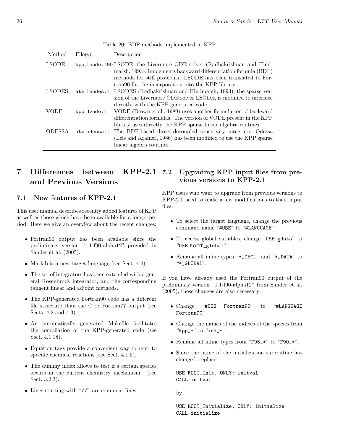| Method        | File(s)      | Description                                                              |
|---------------|--------------|--------------------------------------------------------------------------|
| <b>LSODE</b>  |              | kpp_1sode.f90LSODE, the Livermore ODE solver (Radhakrishnan and Hind-    |
|               |              | marsh, 1993), implements backward differentiation formula (BDF)          |
|               |              | methods for stiff problems. LSODE has been translated to For-            |
|               |              | tran90 for the incorporation into the KPP library.                       |
| <b>LSODES</b> |              | atm_lsodes.f LSODES (Radhakrishnan and Hindmarsh, 1993), the sparse ver- |
|               |              | sion of the Livermore ODE solver LSODE, is modified to interface         |
|               |              | directly with the KPP generated code                                     |
| VODE          | kpp_dvode.f  | VODE (Brown et al., 1989) uses another formulation of backward           |
|               |              | differentiation formulas. The version of VODE present in the KPP         |
|               |              | library uses directly the KPP sparse linear algebra routines.            |
| <b>ODESSA</b> | atm odessa.f | The BDF-based direct-decoupled sensitivity integrator Odessa             |
|               |              | (Leis and Kramer, 1986) has been modified to use the KPP sparse          |
|               |              | linear algebra routines.                                                 |

Table 20: BDF methods implemented in KPP

#### 7 Differences between KPP-2.1 and Previous Versions Upgrading KPP input files from previous versions to KPP-2.1

## 7.1 New features of KPP-2.1

This user manual describes recently added features of KPP as well as those which have been available for a longer period. Here we give an overview about the recent changes:

- Fortran90 output has been available since the preliminary version "1.1-f90-alpha12" provided in Sander et al. (2005).
- Matlab is a new target language (see Sect. 4.4).
- The set of integrators has been extended with a general Rosenbrock integrator, and the corresponding tangent linear and adjoint methods.
- The KPP-generated Fortran90 code has a different file structure than the C or Fortran77 output (see Sects. 4.2 and 4.3).
- An automatically generated Makefile facilitates the compilation of the KPP-generated code (see Sect. 4.1.18).
- Equation tags provide a convenient way to refer to specific chemical reactions (see Sect. 4.1.5).
- The dummy index allows to test if a certain species occurs in the current chemistry mechanism. (see Sect. 3.2.3).
- Lines starting with "//" are comment lines.

KPP users who want to upgrade from previous versions to KPP-2.1 need to make a few modifications to their input files.

- To select the target language, change the previous command name "#USE" to "#LANGUAGE".
- To access global variables, change "USE gdata" to "USE ROOT\_global".
- Rename all inline types "\*\_DECL" and "\*\_DATA" to "\*\_GLOBAL".

If you have already used the Fortran90 output of the preliminary version "1.1-f90-alpha12" from Sander et al. (2005), these changes are also necessary:

- Change "#USE Fortran95" to "#LANGUAGE Fortran90".
- Change the names of the indices of the species from " $kpp_*$ " to "ind  $*$ ".
- Rename all inline types from "F95\_\*" to "F90\_\*".
- Since the name of the initialization subroutine has changed, replace

USE ROOT\_Init, ONLY: initval CALL initval

by

USE ROOT\_Initialize, ONLY: initialize CALL initialize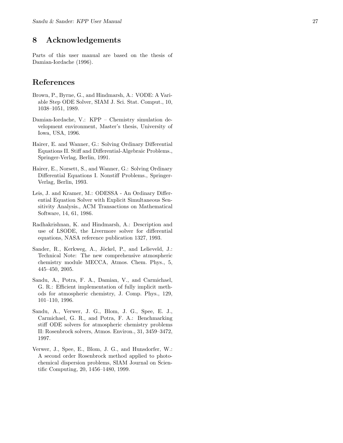# 8 Acknowledgements

Parts of this user manual are based on the thesis of Damian-Iordache (1996).

# References

- Brown, P., Byrne, G., and Hindmarsh, A.: VODE: A Variable Step ODE Solver, SIAM J. Sci. Stat. Comput., 10, 1038–1051, 1989.
- Damian-Iordache, V.: KPP Chemistry simulation development environment, Master's thesis, University of Iowa, USA, 1996.
- Hairer, E. and Wanner, G.: Solving Ordinary Differential Equations II. Stiff and Differential-Algebraic Problems., Springer-Verlag, Berlin, 1991.
- Hairer, E., Norsett, S., and Wanner, G.: Solving Ordinary Differential Equations I. Nonstiff Problems., Springer-Verlag, Berlin, 1993.
- Leis, J. and Kramer, M.: ODESSA An Ordinary Differential Equation Solver with Explicit Simultaneous Sensitivity Analysis., ACM Transactions on Mathematical Software, 14, 61, 1986.
- Radhakrishnan, K. and Hindmarsh, A.: Description and use of LSODE, the Livermore solver for differential equations, NASA reference publication 1327, 1993.
- Sander, R., Kerkweg, A., Jöckel, P., and Lelieveld, J.: Technical Note: The new comprehensive atmospheric chemistry module MECCA, Atmos. Chem. Phys., 5, 445–450, 2005.
- Sandu, A., Potra, F. A., Damian, V., and Carmichael, G. R.: Efficient implementation of fully implicit methods for atmospheric chemistry, J. Comp. Phys., 129, 101–110, 1996.
- Sandu, A., Verwer, J. G., Blom, J. G., Spee, E. J., Carmichael, G. R., and Potra, F. A.: Benchmarking stiff ODE solvers for atmospheric chemistry problems II: Rosenbrock solvers, Atmos. Environ., 31, 3459–3472, 1997.
- Verwer, J., Spee, E., Blom, J. G., and Hunsdorfer, W.: A second order Rosenbrock method applied to photochemical dispersion problems, SIAM Journal on Scientific Computing, 20, 1456–1480, 1999.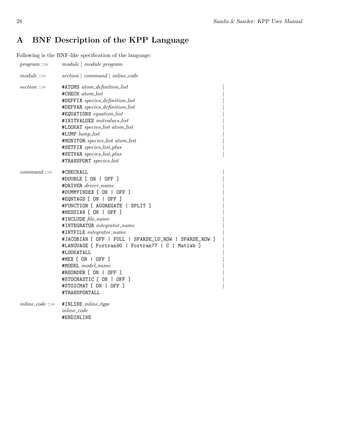# A BNF Description of the KPP Language

Following is the BNF-like specification of the language:

| $program ::=$      | module   module program                                                                                                                                                                                                                                                                                                                                                                                                                                                                                                            |  |
|--------------------|------------------------------------------------------------------------------------------------------------------------------------------------------------------------------------------------------------------------------------------------------------------------------------------------------------------------------------------------------------------------------------------------------------------------------------------------------------------------------------------------------------------------------------|--|
| $module ::=$       | $section \mid command \mid inline\_code$                                                                                                                                                                                                                                                                                                                                                                                                                                                                                           |  |
| $section ::=$      | #ATOMS atom_definition_list<br>#CHECK atom_list<br>#DEFFIX species_definition_list<br>#DEFVAR species_definition_list<br>#EQUATIONS equation_list<br>#INITVALUES <i>initvalues_list</i><br>#LOOKAT species_list atom_list<br>#LUMP lump_list<br>#MONITOR species_list atom_list<br>#SETFIX species_list_plus<br>#SETVAR species_list_plus<br>#TRANSPORT species_list                                                                                                                                                               |  |
| $command ::=$      | #CHECKALL<br>#DOUBLE [ ON   OFF ]<br>$#DRIVER\ driver_name$<br>#DUMMYINDEX [ ON   OFF ]<br>#EQNTAGS [ ON   OFF ]<br>#FUNCTION [ AGGREGATE   SPLIT ]<br>#HESSIAN [ ON   OFF ]<br>#INCLUDE file_name<br>#INTEGRATOR integrator_name<br>#INTFILE integrator_name<br>#JACOBIAN [ OFF   FULL   SPARSE_LU_ROW   SPARSE_ROW ]<br>#LANGUAGE [ Fortran90   Fortran77   C   Matlab ]<br>#LOOKATALL<br>#MEX [ ON   OFF ]<br>#MODEL model_name<br>#REORDER [ ON   OFF ]<br>#STOCHASTIC [ ON   OFF ]<br>#STOICMAT [ ON   OFF ]<br>#TRANSPORTALL |  |
| $inline\_code ::=$ | #INLINE inline_type<br><i>inline_code</i><br>#ENDINLINE                                                                                                                                                                                                                                                                                                                                                                                                                                                                            |  |